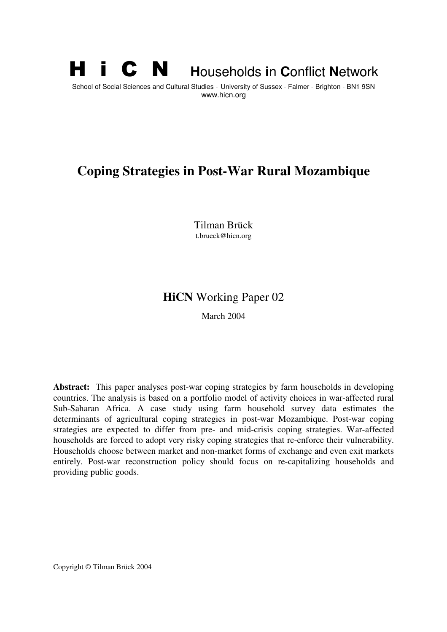# **H i C N Households in Conflict Network**

School of Social Sciences and Cultural Studies - University of Sussex - Falmer - Brighton - BN1 9SN www.hicn.org

# **Coping Strategies in Post-War Rural Mozambique**

Tilman Brück t.brueck@hicn.org

## **HiCN** Working Paper 02

March 2004

**Abstract:** This paper analyses post-war coping strategies by farm households in developing countries. The analysis is based on a portfolio model of activity choices in war-affected rural Sub-Saharan Africa. A case study using farm household survey data estimates the determinants of agricultural coping strategies in post-war Mozambique. Post-war coping strategies are expected to differ from pre- and mid-crisis coping strategies. War-affected households are forced to adopt very risky coping strategies that re-enforce their vulnerability. Households choose between market and non-market forms of exchange and even exit markets entirely. Post-war reconstruction policy should focus on re-capitalizing households and providing public goods.

Copyright © Tilman Brück 2004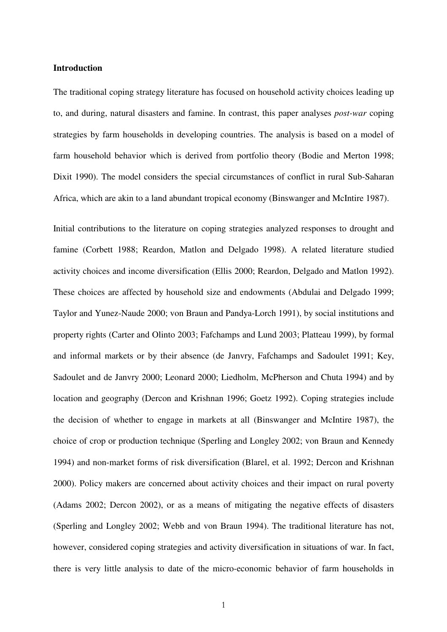## **Introduction**

The traditional coping strategy literature has focused on household activity choices leading up to, and during, natural disasters and famine. In contrast, this paper analyses *post-war* coping strategies by farm households in developing countries. The analysis is based on a model of farm household behavior which is derived from portfolio theory (Bodie and Merton 1998; Dixit 1990). The model considers the special circumstances of conflict in rural Sub-Saharan Africa, which are akin to a land abundant tropical economy (Binswanger and McIntire 1987).

Initial contributions to the literature on coping strategies analyzed responses to drought and famine (Corbett 1988; Reardon, Matlon and Delgado 1998). A related literature studied activity choices and income diversification (Ellis 2000; Reardon, Delgado and Matlon 1992). These choices are affected by household size and endowments (Abdulai and Delgado 1999; Taylor and Yunez-Naude 2000; von Braun and Pandya-Lorch 1991), by social institutions and property rights (Carter and Olinto 2003; Fafchamps and Lund 2003; Platteau 1999), by formal and informal markets or by their absence (de Janvry, Fafchamps and Sadoulet 1991; Key, Sadoulet and de Janvry 2000; Leonard 2000; Liedholm, McPherson and Chuta 1994) and by location and geography (Dercon and Krishnan 1996; Goetz 1992). Coping strategies include the decision of whether to engage in markets at all (Binswanger and McIntire 1987), the choice of crop or production technique (Sperling and Longley 2002; von Braun and Kennedy 1994) and non-market forms of risk diversification (Blarel, et al. 1992; Dercon and Krishnan 2000). Policy makers are concerned about activity choices and their impact on rural poverty (Adams 2002; Dercon 2002), or as a means of mitigating the negative effects of disasters (Sperling and Longley 2002; Webb and von Braun 1994). The traditional literature has not, however, considered coping strategies and activity diversification in situations of war. In fact, there is very little analysis to date of the micro-economic behavior of farm households in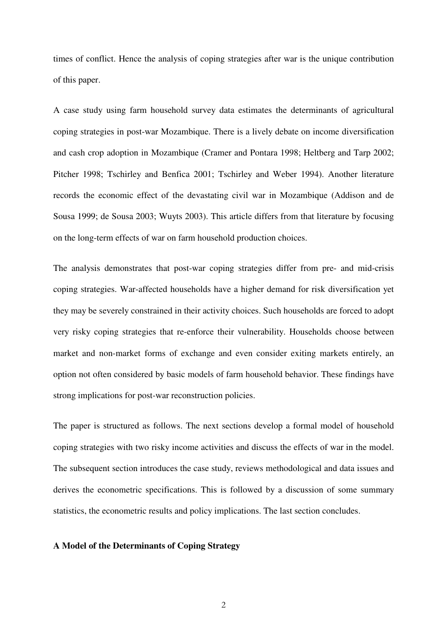times of conflict. Hence the analysis of coping strategies after war is the unique contribution of this paper.

A case study using farm household survey data estimates the determinants of agricultural coping strategies in post-war Mozambique. There is a lively debate on income diversification and cash crop adoption in Mozambique (Cramer and Pontara 1998; Heltberg and Tarp 2002; Pitcher 1998; Tschirley and Benfica 2001; Tschirley and Weber 1994). Another literature records the economic effect of the devastating civil war in Mozambique (Addison and de Sousa 1999; de Sousa 2003; Wuyts 2003). This article differs from that literature by focusing on the long-term effects of war on farm household production choices.

The analysis demonstrates that post-war coping strategies differ from pre- and mid-crisis coping strategies. War-affected households have a higher demand for risk diversification yet they may be severely constrained in their activity choices. Such households are forced to adopt very risky coping strategies that re-enforce their vulnerability. Households choose between market and non-market forms of exchange and even consider exiting markets entirely, an option not often considered by basic models of farm household behavior. These findings have strong implications for post-war reconstruction policies.

The paper is structured as follows. The next sections develop a formal model of household coping strategies with two risky income activities and discuss the effects of war in the model. The subsequent section introduces the case study, reviews methodological and data issues and derives the econometric specifications. This is followed by a discussion of some summary statistics, the econometric results and policy implications. The last section concludes.

## **A Model of the Determinants of Coping Strategy**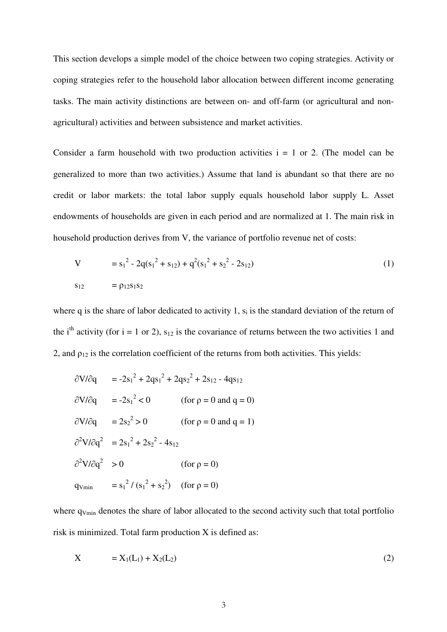coping strategies refer to the household labor allocation between different income generating tasks. The main activity distinctions are between on- and off-farm (or agricultural and nonagricultural) activities and between subsistence and market activities.

This section develops a simple model of the choice between two coping strategies. Activity or<br>
coping strategies refer to the bousehold labor allocation between different income generating<br>
tasks. The main activity distin Consider a farm household with two production activities  $i = 1$  or 2. (The model can be generalized to more than two activities.) Assume that land is abundant so that there are no credit or labor markets: the total labor supply equals household labor supply L. Asset endowments of households are given in each period and are normalized at 1. The main risk in household production derives from V, the variance of portfolio revenue net of costs:

$$
V = s_1^2 - 2q(s_1^2 + s_{12}) + q^2(s_1^2 + s_2^2 - 2s_{12})
$$
  
\n
$$
s_{12} = \rho_{12}s_1s_2
$$
\n(1)

where q is the share of labor dedicated to activity 1,  $s_i$  is the standard deviation of the return of the i<sup>th</sup> activity (for i = 1 or 2),  $s_{12}$  is the covariance of returns between the two activities 1 and 2, and  $\rho_{12}$  is the correlation coefficient of the returns from both activities. This yields:

$$
\frac{\partial V}{\partial q} = -2s_1^2 + 2qs_1^2 + 2qs_2^2 + 2s_{12} - 4qs_{12}
$$
  
\n
$$
\frac{\partial V}{\partial q} = -2s_1^2 < 0 \qquad \text{(for } \rho = 0 \text{ and } q = 0\text{)}
$$
  
\n
$$
\frac{\partial V}{\partial q} = 2s_2^2 > 0 \qquad \text{(for } \rho = 0 \text{ and } q = 1\text{)}
$$
  
\n
$$
\frac{\partial^2 V}{\partial q^2} = 2s_1^2 + 2s_2^2 - 4s_{12}
$$
  
\n
$$
\frac{\partial^2 V}{\partial q^2} > 0 \qquad \text{(for } \rho = 0\text{)}
$$
  
\n
$$
q_{\text{Vmin}} = s_1^2 / (s_1^2 + s_2^2) \quad \text{(for } \rho = 0\text{)}
$$

where q<sub>Vmin</sub> denotes the share of labor allocated to the second activity such that total portfolio risk is minimized. Total farm production X is defined as:

$$
X = X_1(L_1) + X_2(L_2)
$$
 (2)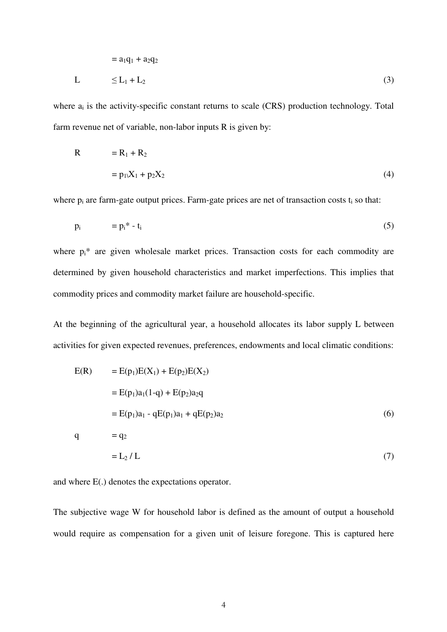$$
= a_1q_1 + a_2q_2
$$
  
\n
$$
L \leq L_1 + L_2
$$
\n(3)

where  $a_i$  is the activity-specific constant returns to scale (CRS) production technology. Total farm revenue net of variable, non-labor inputs R is given by:

$$
R = R_1 + R_2
$$
  
=  $p_1X_1 + p_2X_2$  (4)

where  $p_i$  are farm-gate output prices. Farm-gate prices are net of transaction costs  $t_i$  so that:

$$
p_i = p_i^* - t_i \tag{5}
$$

where  $p_i^*$  are given wholesale market prices. Transaction costs for each commodity are determined by given household characteristics and market imperfections. This implies that commodity prices and commodity market failure are household-specific.

At the beginning of the agricultural year, a household allocates its labor supply L between activities for given expected revenues, preferences, endowments and local climatic conditions:

$$
E(R) = E(p_1)E(X_1) + E(p_2)E(X_2)
$$
  
= E(p\_1)a\_1(1-q) + E(p\_2)a\_2q  
= E(p\_1)a\_1 - qE(p\_1)a\_1 + qE(p\_2)a\_2  
  

$$
q = q_2
$$
  
= L<sub>2</sub> / L (7)

and where E(.) denotes the expectations operator.

The subjective wage W for household labor is defined as the amount of output a household would require as compensation for a given unit of leisure foregone. This is captured here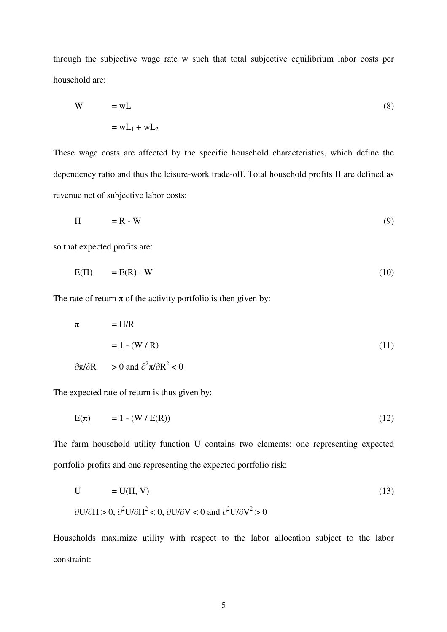through the subjective wage rate w such that total subjective equilibrium labor costs per household are:

$$
W = wL
$$
  

$$
= wL_1 + wL_2
$$
 (8)

These wage costs are affected by the specific household characteristics, which define the dependency ratio and thus the leisure-work trade-off. Total household profits  $\Pi$  are defined as revenue net of subjective labor costs:

$$
\Pi = \mathbf{R} \cdot \mathbf{W} \tag{9}
$$

so that expected profits are:

$$
E(\Pi) = E(R) - W \tag{10}
$$

The rate of return  $\pi$  of the activity portfolio is then given by:

$$
π = \Pi/R
$$
  
= 1 - (W / R)  

$$
∂π/∂R > 0 \text{ and } ∂2π/∂R2 < 0
$$
 (11)

The expected rate of return is thus given by:

$$
E(\pi) = 1 - (W / E(R)) \tag{12}
$$

The farm household utility function U contains two elements: one representing expected portfolio profits and one representing the expected portfolio risk:

$$
U = U(\Pi, V)
$$
  
\n
$$
\partial U/\partial \Pi > 0, \ \partial^2 U/\partial \Pi^2 < 0, \ \partial U/\partial V < 0 \text{ and } \ \partial^2 U/\partial V^2 > 0
$$
\n(13)

Households maximize utility with respect to the labor allocation subject to the labor constraint: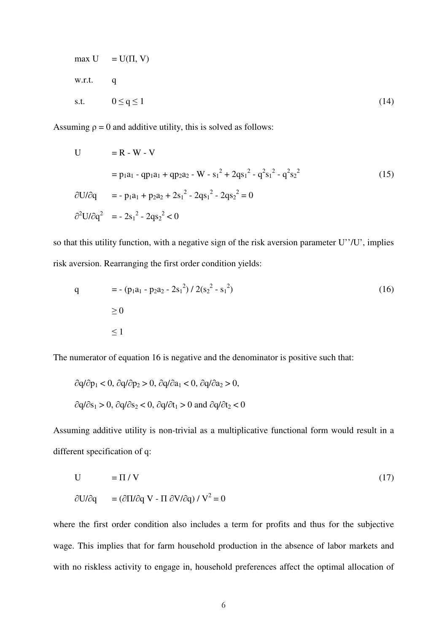$$
\max \mathbf{U} = \mathbf{U}(\Pi, \mathbf{V})
$$
  
w.r.t. q  
s.t. 
$$
0 \le \mathbf{q} \le 1
$$
 (14)

Assuming  $\rho = 0$  and additive utility, this is solved as follows:

$$
U = R - W - V
$$
  
\n
$$
= p_1 a_1 - qp_1 a_1 + qp_2 a_2 - W - s_1^2 + 2qs_1^2 - q^2 s_1^2 - q^2 s_2^2
$$
  
\n
$$
\frac{\partial U}{\partial q} = -p_1 a_1 + p_2 a_2 + 2s_1^2 - 2qs_1^2 - 2qs_2^2 = 0
$$
  
\n
$$
\frac{\partial^2 U}{\partial q^2} = -2s_1^2 - 2qs_2^2 < 0
$$
\n(15)

so that this utility function, with a negative sign of the risk aversion parameter U''/U', implies risk aversion. Rearranging the first order condition yields:

q = - (p<sub>1</sub>a<sub>1</sub> - p<sub>2</sub>a<sub>2</sub> - 2s<sub>1</sub><sup>2</sup>) / 2(s<sub>2</sub><sup>2</sup> - s<sub>1</sub><sup>2</sup>)   
\n
$$
\ge 0
$$
   
\n $\le 1$  (16)

The numerator of equation 16 is negative and the denominator is positive such that:

$$
\partial q/\partial p_1 < 0
$$
,  $\partial q/\partial p_2 > 0$ ,  $\partial q/\partial a_1 < 0$ ,  $\partial q/\partial a_2 > 0$ ,  
 $\partial q/\partial s_1 > 0$ ,  $\partial q/\partial s_2 < 0$ ,  $\partial q/\partial t_1 > 0$  and  $\partial q/\partial t_2 < 0$ 

Assuming additive utility is non-trivial as a multiplicative functional form would result in a different specification of q:

$$
U = \Pi / V
$$
 (17)  
\n
$$
\partial U / \partial q = (\partial \Pi / \partial q V - \Pi \partial V / \partial q) / V^2 = 0
$$

where the first order condition also includes a term for profits and thus for the subjective wage. This implies that for farm household production in the absence of labor markets and with no riskless activity to engage in, household preferences affect the optimal allocation of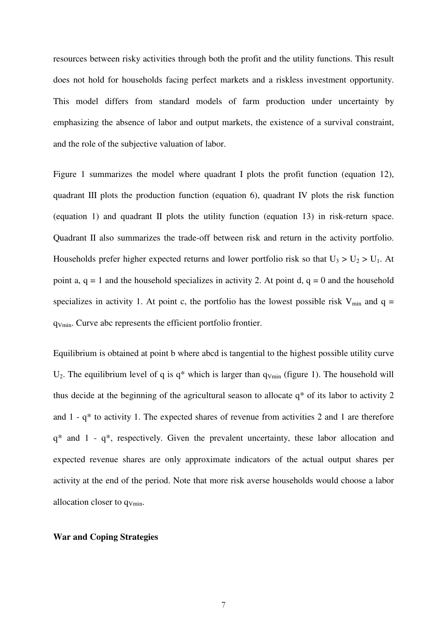resources between risky activities through both the profit and the utility functions. This result does not hold for households facing perfect markets and a riskless investment opportunity. This model differs from standard models of farm production under uncertainty by emphasizing the absence of labor and output markets, the existence of a survival constraint, and the role of the subjective valuation of labor.

Figure 1 summarizes the model where quadrant I plots the profit function (equation 12), quadrant III plots the production function (equation 6), quadrant IV plots the risk function (equation 1) and quadrant II plots the utility function (equation 13) in risk-return space. Quadrant II also summarizes the trade-off between risk and return in the activity portfolio. Households prefer higher expected returns and lower portfolio risk so that  $U_3 > U_2 > U_1$ . At point a,  $q = 1$  and the household specializes in activity 2. At point d,  $q = 0$  and the household specializes in activity 1. At point c, the portfolio has the lowest possible risk  $V_{min}$  and q = qVmin. Curve abc represents the efficient portfolio frontier.

Equilibrium is obtained at point b where abcd is tangential to the highest possible utility curve  $U_2$ . The equilibrium level of q is q\* which is larger than  $q_{V_{min}}$  (figure 1). The household will thus decide at the beginning of the agricultural season to allocate q\* of its labor to activity 2 and 1 - q\* to activity 1. The expected shares of revenue from activities 2 and 1 are therefore q\* and 1 - q\*, respectively. Given the prevalent uncertainty, these labor allocation and expected revenue shares are only approximate indicators of the actual output shares per activity at the end of the period. Note that more risk averse households would choose a labor allocation closer to qVmin.

#### **War and Coping Strategies**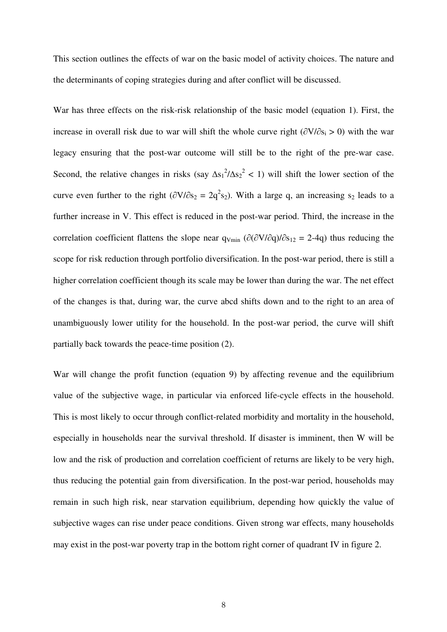This section outlines the effects of war on the basic model of activity choices. The nature and the determinants of coping strategies during and after conflict will be discussed.

War has three effects on the risk-risk relationship of the basic model (equation 1). First, the increase in overall risk due to war will shift the whole curve right  $(\partial V/\partial s_i > 0)$  with the war legacy ensuring that the post-war outcome will still be to the right of the pre-war case. Second, the relative changes in risks (say  $\Delta s_1^2/\Delta s_2^2 < 1$ ) will shift the lower section of the curve even further to the right  $(\partial V/\partial s_2 = 2q^2 s_2)$ . With a large q, an increasing s<sub>2</sub> leads to a further increase in V. This effect is reduced in the post-war period. Third, the increase in the correlation coefficient flattens the slope near  $q_{Vmin}$  ( $\partial(\partial V/\partial q)/\partial s_{12} = 2-4q$ ) thus reducing the scope for risk reduction through portfolio diversification. In the post-war period, there is still a higher correlation coefficient though its scale may be lower than during the war. The net effect of the changes is that, during war, the curve abcd shifts down and to the right to an area of unambiguously lower utility for the household. In the post-war period, the curve will shift partially back towards the peace-time position (2).

War will change the profit function (equation 9) by affecting revenue and the equilibrium value of the subjective wage, in particular via enforced life-cycle effects in the household. This is most likely to occur through conflict-related morbidity and mortality in the household, especially in households near the survival threshold. If disaster is imminent, then W will be low and the risk of production and correlation coefficient of returns are likely to be very high, thus reducing the potential gain from diversification. In the post-war period, households may remain in such high risk, near starvation equilibrium, depending how quickly the value of subjective wages can rise under peace conditions. Given strong war effects, many households may exist in the post-war poverty trap in the bottom right corner of quadrant IV in figure 2.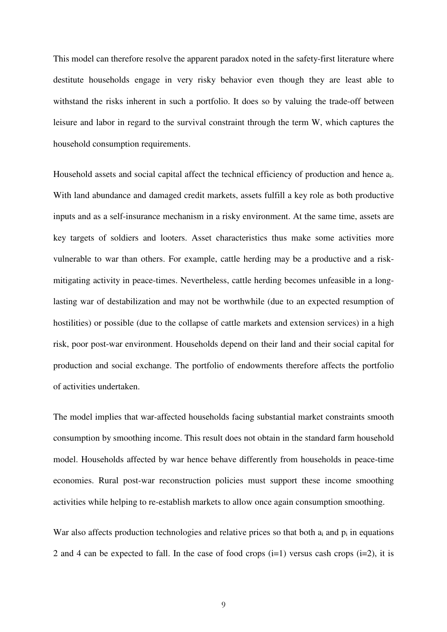This model can therefore resolve the apparent paradox noted in the safety-first literature where destitute households engage in very risky behavior even though they are least able to withstand the risks inherent in such a portfolio. It does so by valuing the trade-off between leisure and labor in regard to the survival constraint through the term W, which captures the household consumption requirements.

Household assets and social capital affect the technical efficiency of production and hence a<sub>i</sub>. With land abundance and damaged credit markets, assets fulfill a key role as both productive inputs and as a self-insurance mechanism in a risky environment. At the same time, assets are key targets of soldiers and looters. Asset characteristics thus make some activities more vulnerable to war than others. For example, cattle herding may be a productive and a riskmitigating activity in peace-times. Nevertheless, cattle herding becomes unfeasible in a longlasting war of destabilization and may not be worthwhile (due to an expected resumption of hostilities) or possible (due to the collapse of cattle markets and extension services) in a high risk, poor post-war environment. Households depend on their land and their social capital for production and social exchange. The portfolio of endowments therefore affects the portfolio of activities undertaken.

The model implies that war-affected households facing substantial market constraints smooth consumption by smoothing income. This result does not obtain in the standard farm household model. Households affected by war hence behave differently from households in peace-time economies. Rural post-war reconstruction policies must support these income smoothing activities while helping to re-establish markets to allow once again consumption smoothing.

War also affects production technologies and relative prices so that both  $a_i$  and  $p_i$  in equations 2 and 4 can be expected to fall. In the case of food crops  $(i=1)$  versus cash crops  $(i=2)$ , it is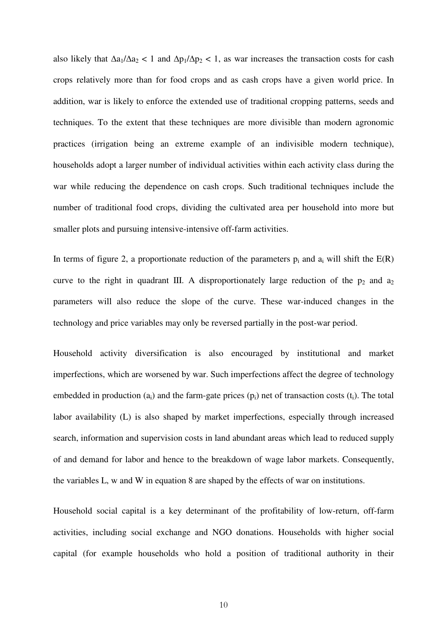also likely that  $\Delta a_1/\Delta a_2 < 1$  and  $\Delta p_1/\Delta p_2 < 1$ , as war increases the transaction costs for cash crops relatively more than for food crops and as cash crops have a given world price. In addition, war is likely to enforce the extended use of traditional cropping patterns, seeds and techniques. To the extent that these techniques are more divisible than modern agronomic practices (irrigation being an extreme example of an indivisible modern technique), households adopt a larger number of individual activities within each activity class during the war while reducing the dependence on cash crops. Such traditional techniques include the number of traditional food crops, dividing the cultivated area per household into more but smaller plots and pursuing intensive-intensive off-farm activities.

In terms of figure 2, a proportionate reduction of the parameters  $p_i$  and  $a_i$  will shift the  $E(R)$ curve to the right in quadrant III. A disproportionately large reduction of the  $p_2$  and  $a_2$ parameters will also reduce the slope of the curve. These war-induced changes in the technology and price variables may only be reversed partially in the post-war period.

Household activity diversification is also encouraged by institutional and market imperfections, which are worsened by war. Such imperfections affect the degree of technology embedded in production  $(a_i)$  and the farm-gate prices  $(p_i)$  net of transaction costs  $(t_i)$ . The total labor availability (L) is also shaped by market imperfections, especially through increased search, information and supervision costs in land abundant areas which lead to reduced supply of and demand for labor and hence to the breakdown of wage labor markets. Consequently, the variables L, w and W in equation 8 are shaped by the effects of war on institutions.

Household social capital is a key determinant of the profitability of low-return, off-farm activities, including social exchange and NGO donations. Households with higher social capital (for example households who hold a position of traditional authority in their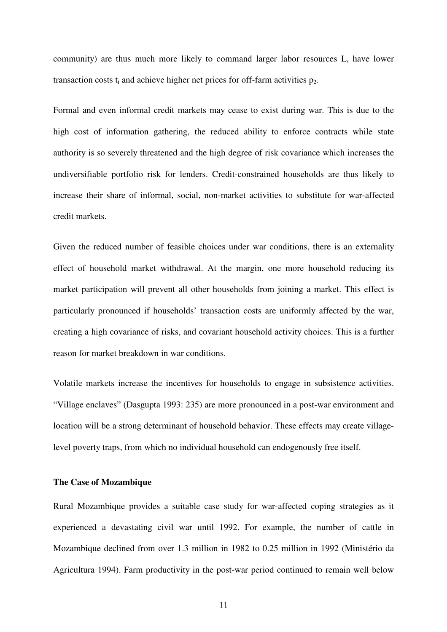community) are thus much more likely to command larger labor resources L, have lower transaction costs  $t_i$  and achieve higher net prices for off-farm activities  $p_2$ .

Formal and even informal credit markets may cease to exist during war. This is due to the high cost of information gathering, the reduced ability to enforce contracts while state authority is so severely threatened and the high degree of risk covariance which increases the undiversifiable portfolio risk for lenders. Credit-constrained households are thus likely to increase their share of informal, social, non-market activities to substitute for war-affected credit markets.

Given the reduced number of feasible choices under war conditions, there is an externality effect of household market withdrawal. At the margin, one more household reducing its market participation will prevent all other households from joining a market. This effect is particularly pronounced if households' transaction costs are uniformly affected by the war, creating a high covariance of risks, and covariant household activity choices. This is a further reason for market breakdown in war conditions.

Volatile markets increase the incentives for households to engage in subsistence activities. "Village enclaves" (Dasgupta 1993: 235) are more pronounced in a post-war environment and location will be a strong determinant of household behavior. These effects may create villagelevel poverty traps, from which no individual household can endogenously free itself.

## **The Case of Mozambique**

Rural Mozambique provides a suitable case study for war-affected coping strategies as it experienced a devastating civil war until 1992. For example, the number of cattle in Mozambique declined from over 1.3 million in 1982 to 0.25 million in 1992 (Ministério da Agricultura 1994). Farm productivity in the post-war period continued to remain well below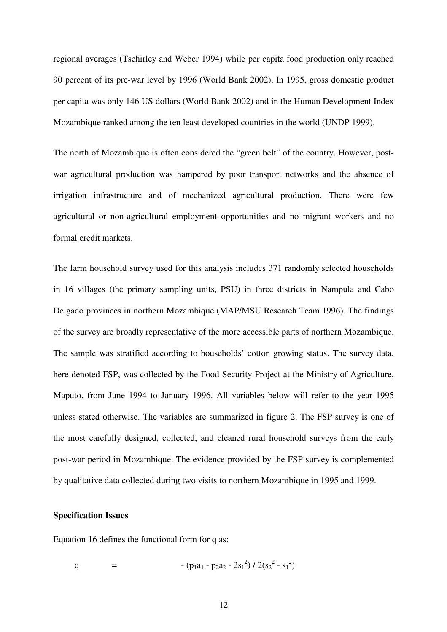regional averages (Tschirley and Weber 1994) while per capita food production only reached 90 percent of its pre-war level by 1996 (World Bank 2002). In 1995, gross domestic product per capita was only 146 US dollars (World Bank 2002) and in the Human Development Index Mozambique ranked among the ten least developed countries in the world (UNDP 1999).

The north of Mozambique is often considered the "green belt" of the country. However, postwar agricultural production was hampered by poor transport networks and the absence of irrigation infrastructure and of mechanized agricultural production. There were few agricultural or non-agricultural employment opportunities and no migrant workers and no formal credit markets.

The farm household survey used for this analysis includes 371 randomly selected households in 16 villages (the primary sampling units, PSU) in three districts in Nampula and Cabo Delgado provinces in northern Mozambique (MAP/MSU Research Team 1996). The findings of the survey are broadly representative of the more accessible parts of northern Mozambique. The sample was stratified according to households' cotton growing status. The survey data, here denoted FSP, was collected by the Food Security Project at the Ministry of Agriculture, Maputo, from June 1994 to January 1996. All variables below will refer to the year 1995 unless stated otherwise. The variables are summarized in figure 2. The FSP survey is one of the most carefully designed, collected, and cleaned rural household surveys from the early post-war period in Mozambique. The evidence provided by the FSP survey is complemented by qualitative data collected during two visits to northern Mozambique in 1995 and 1999.

## **Specification Issues**

Equation 16 defines the functional form for q as:

q = 
$$
-(p_1a_1 - p_2a_2 - 2s_1^2) / 2(s_2^2 - s_1^2)
$$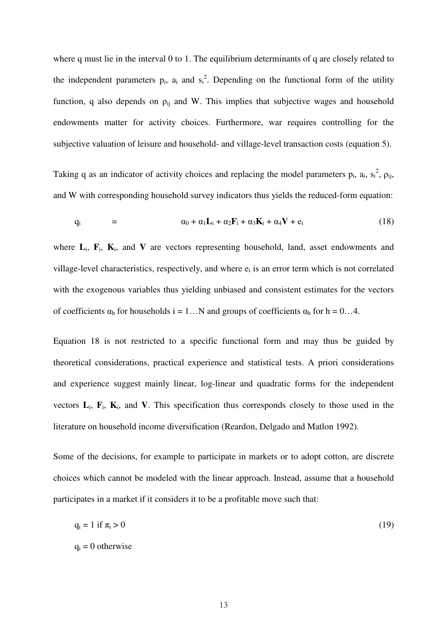where q must lie in the interval 0 to 1. The equilibrium determinants of q are closely related to the independent parameters  $p_i$ ,  $a_i$  and  $s_i^2$ . Depending on the functional form of the utility function, q also depends on  $\rho_{ij}$  and W. This implies that subjective wages and household endowments matter for activity choices. Furthermore, war requires controlling for the subjective valuation of leisure and household- and village-level transaction costs (equation 5).

Taking q as an indicator of activity choices and replacing the model parameters  $p_i$ ,  $a_i$ ,  $s_i^2$ ,  $\rho_{ij}$ , and W with corresponding household survey indicators thus yields the reduced-form equation:

$$
q_i = \alpha_0 + \alpha_1 L_i + \alpha_2 F_i + \alpha_3 K_i + \alpha_4 V + e_i \qquad (18)
$$

where  $\mathbf{L}_i$ ,  $\mathbf{F}_i$ ,  $\mathbf{K}_i$ , and  $\mathbf{V}$  are vectors representing household, land, asset endowments and village-level characteristics, respectively, and where  $e_i$  is an error term which is not correlated with the exogenous variables thus yielding unbiased and consistent estimates for the vectors of coefficients  $\alpha_h$  for households i = 1... N and groups of coefficients  $\alpha_h$  for h = 0...4.

Equation 18 is not restricted to a specific functional form and may thus be guided by theoretical considerations, practical experience and statistical tests. A priori considerations and experience suggest mainly linear, log-linear and quadratic forms for the independent vectors  $\mathbf{L}_i$ ,  $\mathbf{F}_i$ ,  $\mathbf{K}_i$ , and **V**. This specification thus corresponds closely to those used in the literature on household income diversification (Reardon, Delgado and Matlon 1992).

Some of the decisions, for example to participate in markets or to adopt cotton, are discrete choices which cannot be modeled with the linear approach. Instead, assume that a household participates in a market if it considers it to be a profitable move such that:

$$
q_i = 1 \text{ if } \pi_i > 0 \tag{19}
$$

$$
q_i = 0
$$
 otherwise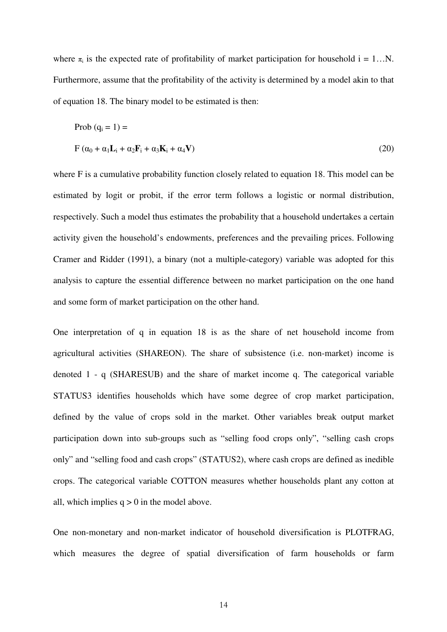where  $\pi_i$  is the expected rate of profitability of market participation for household i = 1...N. Furthermore, assume that the profitability of the activity is determined by a model akin to that of equation 18. The binary model to be estimated is then:

$$
\text{Prob } (\mathbf{q}_i = 1) =
$$
\n
$$
\mathbf{F} (\alpha_0 + \alpha_1 \mathbf{L}_i + \alpha_2 \mathbf{F}_i + \alpha_3 \mathbf{K}_i + \alpha_4 \mathbf{V})
$$
\n(20)

where F is a cumulative probability function closely related to equation 18. This model can be estimated by logit or probit, if the error term follows a logistic or normal distribution, respectively. Such a model thus estimates the probability that a household undertakes a certain activity given the household's endowments, preferences and the prevailing prices. Following Cramer and Ridder (1991), a binary (not a multiple-category) variable was adopted for this analysis to capture the essential difference between no market participation on the one hand and some form of market participation on the other hand.

One interpretation of q in equation 18 is as the share of net household income from agricultural activities (SHAREON). The share of subsistence (i.e. non-market) income is denoted 1 - q (SHARESUB) and the share of market income q. The categorical variable STATUS3 identifies households which have some degree of crop market participation, defined by the value of crops sold in the market. Other variables break output market participation down into sub-groups such as "selling food crops only", "selling cash crops only" and "selling food and cash crops" (STATUS2), where cash crops are defined as inedible crops. The categorical variable COTTON measures whether households plant any cotton at all, which implies  $q > 0$  in the model above.

One non-monetary and non-market indicator of household diversification is PLOTFRAG, which measures the degree of spatial diversification of farm households or farm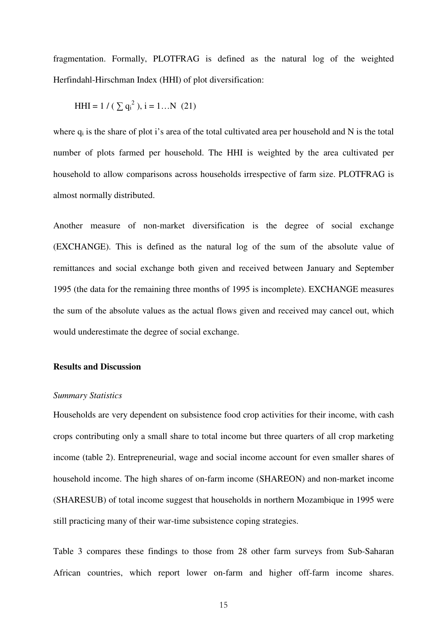fragmentation. Formally, PLOTFRAG is defined as the natural log of the weighted Herfindahl-Hirschman Index (HHI) of plot diversification:

HHI = 
$$
1 / (\sum q_i^2)
$$
, i = 1...N (21)

where  $q_i$  is the share of plot i's area of the total cultivated area per household and N is the total number of plots farmed per household. The HHI is weighted by the area cultivated per household to allow comparisons across households irrespective of farm size. PLOTFRAG is almost normally distributed.

Another measure of non-market diversification is the degree of social exchange (EXCHANGE). This is defined as the natural log of the sum of the absolute value of remittances and social exchange both given and received between January and September 1995 (the data for the remaining three months of 1995 is incomplete). EXCHANGE measures the sum of the absolute values as the actual flows given and received may cancel out, which would underestimate the degree of social exchange.

## **Results and Discussion**

#### *Summary Statistics*

Households are very dependent on subsistence food crop activities for their income, with cash crops contributing only a small share to total income but three quarters of all crop marketing income (table 2). Entrepreneurial, wage and social income account for even smaller shares of household income. The high shares of on-farm income (SHAREON) and non-market income (SHARESUB) of total income suggest that households in northern Mozambique in 1995 were still practicing many of their war-time subsistence coping strategies.

Table 3 compares these findings to those from 28 other farm surveys from Sub-Saharan African countries, which report lower on-farm and higher off-farm income shares.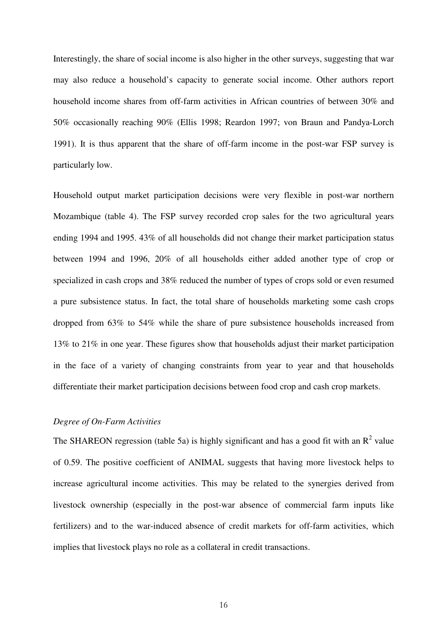Interestingly, the share of social income is also higher in the other surveys, suggesting that war may also reduce a household's capacity to generate social income. Other authors report household income shares from off-farm activities in African countries of between 30% and 50% occasionally reaching 90% (Ellis 1998; Reardon 1997; von Braun and Pandya-Lorch 1991). It is thus apparent that the share of off-farm income in the post-war FSP survey is particularly low.

Household output market participation decisions were very flexible in post-war northern Mozambique (table 4). The FSP survey recorded crop sales for the two agricultural years ending 1994 and 1995. 43% of all households did not change their market participation status between 1994 and 1996, 20% of all households either added another type of crop or specialized in cash crops and 38% reduced the number of types of crops sold or even resumed a pure subsistence status. In fact, the total share of households marketing some cash crops dropped from 63% to 54% while the share of pure subsistence households increased from 13% to 21% in one year. These figures show that households adjust their market participation in the face of a variety of changing constraints from year to year and that households differentiate their market participation decisions between food crop and cash crop markets.

## *Degree of On-Farm Activities*

The SHAREON regression (table 5a) is highly significant and has a good fit with an  $R^2$  value of 0.59. The positive coefficient of ANIMAL suggests that having more livestock helps to increase agricultural income activities. This may be related to the synergies derived from livestock ownership (especially in the post-war absence of commercial farm inputs like fertilizers) and to the war-induced absence of credit markets for off-farm activities, which implies that livestock plays no role as a collateral in credit transactions.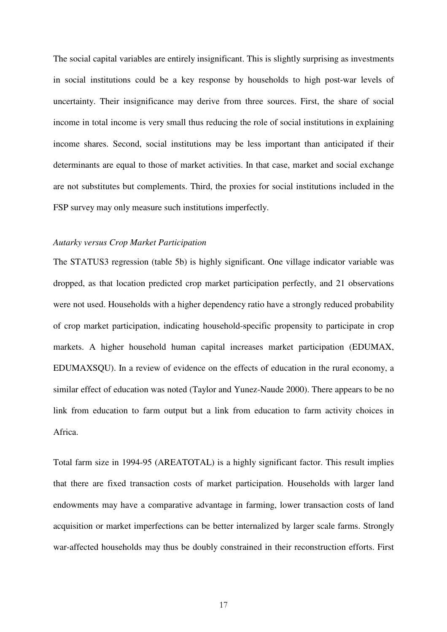The social capital variables are entirely insignificant. This is slightly surprising as investments in social institutions could be a key response by households to high post-war levels of uncertainty. Their insignificance may derive from three sources. First, the share of social income in total income is very small thus reducing the role of social institutions in explaining income shares. Second, social institutions may be less important than anticipated if their determinants are equal to those of market activities. In that case, market and social exchange are not substitutes but complements. Third, the proxies for social institutions included in the FSP survey may only measure such institutions imperfectly.

## *Autarky versus Crop Market Participation*

The STATUS3 regression (table 5b) is highly significant. One village indicator variable was dropped, as that location predicted crop market participation perfectly, and 21 observations were not used. Households with a higher dependency ratio have a strongly reduced probability of crop market participation, indicating household-specific propensity to participate in crop markets. A higher household human capital increases market participation (EDUMAX, EDUMAXSQU). In a review of evidence on the effects of education in the rural economy, a similar effect of education was noted (Taylor and Yunez-Naude 2000). There appears to be no link from education to farm output but a link from education to farm activity choices in Africa.

Total farm size in 1994-95 (AREATOTAL) is a highly significant factor. This result implies that there are fixed transaction costs of market participation. Households with larger land endowments may have a comparative advantage in farming, lower transaction costs of land acquisition or market imperfections can be better internalized by larger scale farms. Strongly war-affected households may thus be doubly constrained in their reconstruction efforts. First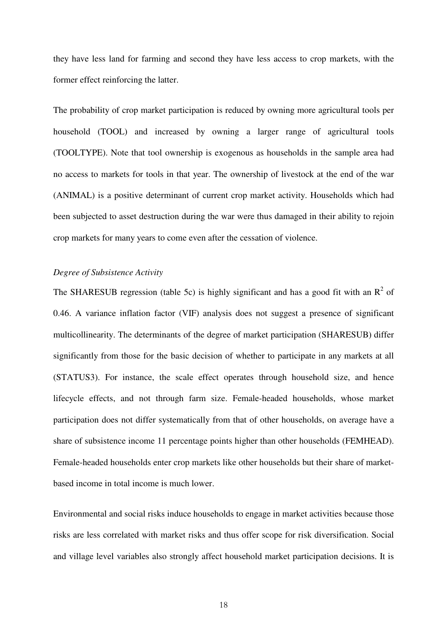they have less land for farming and second they have less access to crop markets, with the former effect reinforcing the latter.

The probability of crop market participation is reduced by owning more agricultural tools per household (TOOL) and increased by owning a larger range of agricultural tools (TOOLTYPE). Note that tool ownership is exogenous as households in the sample area had no access to markets for tools in that year. The ownership of livestock at the end of the war (ANIMAL) is a positive determinant of current crop market activity. Households which had been subjected to asset destruction during the war were thus damaged in their ability to rejoin crop markets for many years to come even after the cessation of violence.

## *Degree of Subsistence Activity*

The SHARESUB regression (table 5c) is highly significant and has a good fit with an  $R^2$  of 0.46. A variance inflation factor (VIF) analysis does not suggest a presence of significant multicollinearity. The determinants of the degree of market participation (SHARESUB) differ significantly from those for the basic decision of whether to participate in any markets at all (STATUS3). For instance, the scale effect operates through household size, and hence lifecycle effects, and not through farm size. Female-headed households, whose market participation does not differ systematically from that of other households, on average have a share of subsistence income 11 percentage points higher than other households (FEMHEAD). Female-headed households enter crop markets like other households but their share of marketbased income in total income is much lower.

Environmental and social risks induce households to engage in market activities because those risks are less correlated with market risks and thus offer scope for risk diversification. Social and village level variables also strongly affect household market participation decisions. It is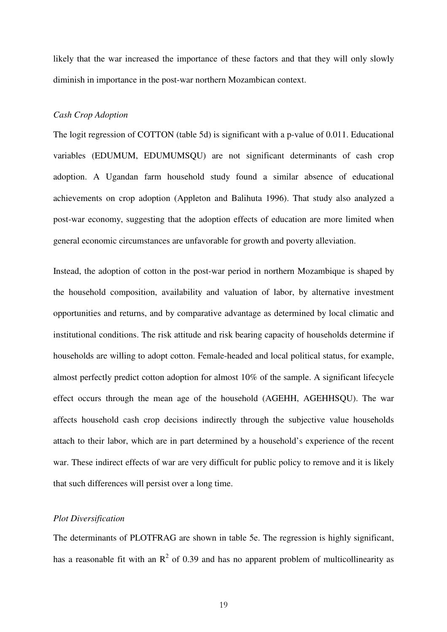likely that the war increased the importance of these factors and that they will only slowly diminish in importance in the post-war northern Mozambican context.

## *Cash Crop Adoption*

The logit regression of COTTON (table 5d) is significant with a p-value of 0.011. Educational variables (EDUMUM, EDUMUMSQU) are not significant determinants of cash crop adoption. A Ugandan farm household study found a similar absence of educational achievements on crop adoption (Appleton and Balihuta 1996). That study also analyzed a post-war economy, suggesting that the adoption effects of education are more limited when general economic circumstances are unfavorable for growth and poverty alleviation.

Instead, the adoption of cotton in the post-war period in northern Mozambique is shaped by the household composition, availability and valuation of labor, by alternative investment opportunities and returns, and by comparative advantage as determined by local climatic and institutional conditions. The risk attitude and risk bearing capacity of households determine if households are willing to adopt cotton. Female-headed and local political status, for example, almost perfectly predict cotton adoption for almost 10% of the sample. A significant lifecycle effect occurs through the mean age of the household (AGEHH, AGEHHSQU). The war affects household cash crop decisions indirectly through the subjective value households attach to their labor, which are in part determined by a household's experience of the recent war. These indirect effects of war are very difficult for public policy to remove and it is likely that such differences will persist over a long time.

## *Plot Diversification*

The determinants of PLOTFRAG are shown in table 5e. The regression is highly significant, has a reasonable fit with an  $R^2$  of 0.39 and has no apparent problem of multicollinearity as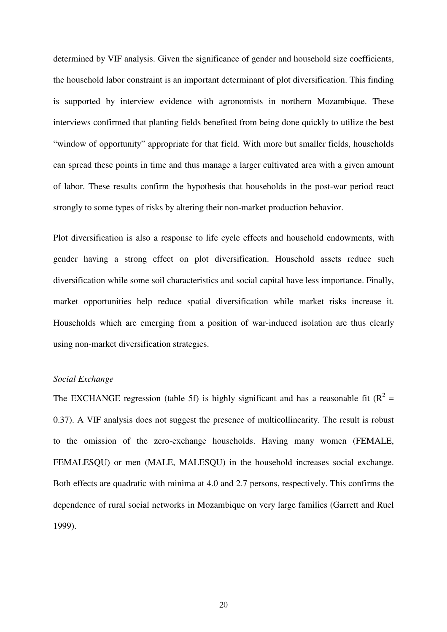determined by VIF analysis. Given the significance of gender and household size coefficients, the household labor constraint is an important determinant of plot diversification. This finding is supported by interview evidence with agronomists in northern Mozambique. These interviews confirmed that planting fields benefited from being done quickly to utilize the best "window of opportunity" appropriate for that field. With more but smaller fields, households can spread these points in time and thus manage a larger cultivated area with a given amount of labor. These results confirm the hypothesis that households in the post-war period react strongly to some types of risks by altering their non-market production behavior.

Plot diversification is also a response to life cycle effects and household endowments, with gender having a strong effect on plot diversification. Household assets reduce such diversification while some soil characteristics and social capital have less importance. Finally, market opportunities help reduce spatial diversification while market risks increase it. Households which are emerging from a position of war-induced isolation are thus clearly using non-market diversification strategies.

#### *Social Exchange*

The EXCHANGE regression (table 5f) is highly significant and has a reasonable fit ( $R^2$  = 0.37). A VIF analysis does not suggest the presence of multicollinearity. The result is robust to the omission of the zero-exchange households. Having many women (FEMALE, FEMALESQU) or men (MALE, MALESQU) in the household increases social exchange. Both effects are quadratic with minima at 4.0 and 2.7 persons, respectively. This confirms the dependence of rural social networks in Mozambique on very large families (Garrett and Ruel 1999).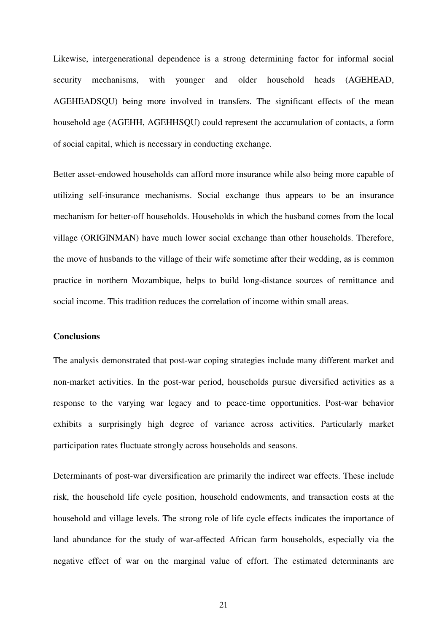Likewise, intergenerational dependence is a strong determining factor for informal social security mechanisms, with younger and older household heads (AGEHEAD, AGEHEADSQU) being more involved in transfers. The significant effects of the mean household age (AGEHH, AGEHHSQU) could represent the accumulation of contacts, a form of social capital, which is necessary in conducting exchange.

Better asset-endowed households can afford more insurance while also being more capable of utilizing self-insurance mechanisms. Social exchange thus appears to be an insurance mechanism for better-off households. Households in which the husband comes from the local village (ORIGINMAN) have much lower social exchange than other households. Therefore, the move of husbands to the village of their wife sometime after their wedding, as is common practice in northern Mozambique, helps to build long-distance sources of remittance and social income. This tradition reduces the correlation of income within small areas.

## **Conclusions**

The analysis demonstrated that post-war coping strategies include many different market and non-market activities. In the post-war period, households pursue diversified activities as a response to the varying war legacy and to peace-time opportunities. Post-war behavior exhibits a surprisingly high degree of variance across activities. Particularly market participation rates fluctuate strongly across households and seasons.

Determinants of post-war diversification are primarily the indirect war effects. These include risk, the household life cycle position, household endowments, and transaction costs at the household and village levels. The strong role of life cycle effects indicates the importance of land abundance for the study of war-affected African farm households, especially via the negative effect of war on the marginal value of effort. The estimated determinants are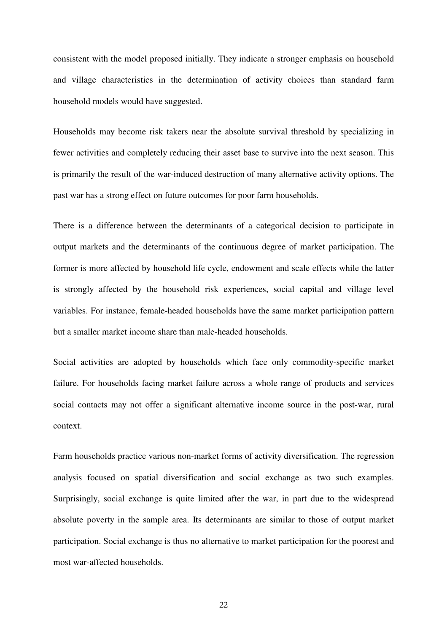consistent with the model proposed initially. They indicate a stronger emphasis on household and village characteristics in the determination of activity choices than standard farm household models would have suggested.

Households may become risk takers near the absolute survival threshold by specializing in fewer activities and completely reducing their asset base to survive into the next season. This is primarily the result of the war-induced destruction of many alternative activity options. The past war has a strong effect on future outcomes for poor farm households.

There is a difference between the determinants of a categorical decision to participate in output markets and the determinants of the continuous degree of market participation. The former is more affected by household life cycle, endowment and scale effects while the latter is strongly affected by the household risk experiences, social capital and village level variables. For instance, female-headed households have the same market participation pattern but a smaller market income share than male-headed households.

Social activities are adopted by households which face only commodity-specific market failure. For households facing market failure across a whole range of products and services social contacts may not offer a significant alternative income source in the post-war, rural context.

Farm households practice various non-market forms of activity diversification. The regression analysis focused on spatial diversification and social exchange as two such examples. Surprisingly, social exchange is quite limited after the war, in part due to the widespread absolute poverty in the sample area. Its determinants are similar to those of output market participation. Social exchange is thus no alternative to market participation for the poorest and most war-affected households.

22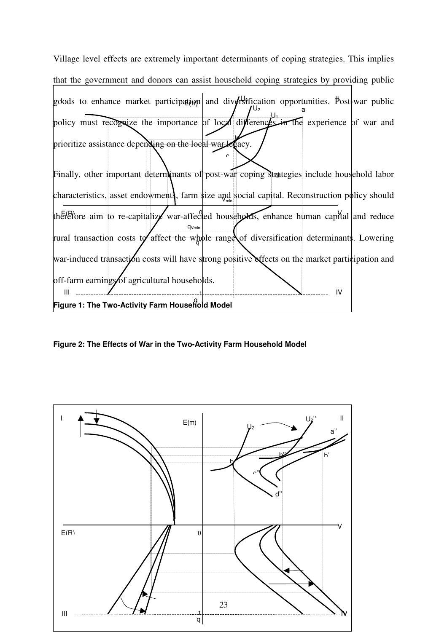

**Figure 2: The Effects of War in the Two-Activity Farm Household Model**

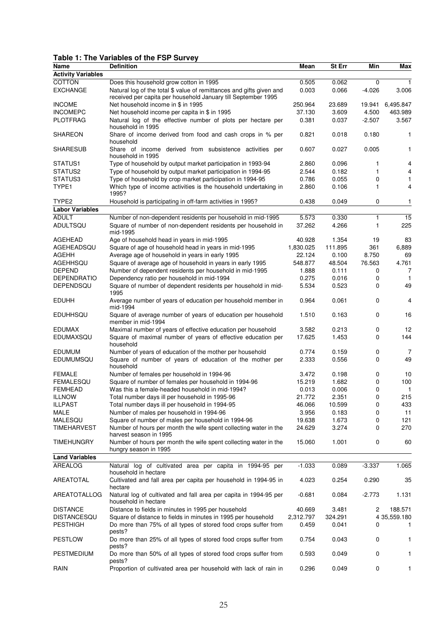## **Table 1: The Variables of the FSP Survey**

| Name                      | <b>Definition</b>                                                                  | Mean      | St Err  | Min      | Max          |
|---------------------------|------------------------------------------------------------------------------------|-----------|---------|----------|--------------|
| <b>Activity Variables</b> |                                                                                    |           |         |          |              |
| COTTON                    | Does this household grow cotton in 1995                                            | 0.505     | 0.062   | $\Omega$ | $\mathbf{1}$ |
| <b>EXCHANGE</b>           | Natural log of the total \$ value of remittances and gifts given and               | 0.003     | 0.066   | $-4.026$ | 3.006        |
|                           | received per capita per household January till September 1995                      |           |         |          |              |
| <b>INCOME</b>             | Net household income in \$ in 1995                                                 | 250.964   | 23.689  | 19.941   | 6,495.847    |
| <b>INCOMEPC</b>           | Net household income per capita in \$ in 1995                                      | 37.130    | 3.609   | 4.500    | 463.989      |
| <b>PLOTFRAG</b>           | Natural log of the effective number of plots per hectare per                       | 0.381     | 0.037   | $-2.507$ | 3.567        |
|                           | household in 1995                                                                  |           |         |          |              |
| <b>SHAREON</b>            | Share of income derived from food and cash crops in % per                          | 0.821     | 0.018   | 0.180    | 1            |
|                           | household                                                                          |           |         |          |              |
| <b>SHARESUB</b>           | Share of income derived from subsistence activities per                            | 0.607     | 0.027   | 0.005    | 1            |
|                           | household in 1995                                                                  |           |         |          |              |
| STATUS1                   | Type of household by output market participation in 1993-94                        | 2.860     | 0.096   | 1        | 4            |
| STATUS2                   | Type of household by output market participation in 1994-95                        | 2.544     | 0.182   | 1        | 4            |
| STATUS3                   | Type of household by crop market participation in 1994-95                          | 0.786     | 0.055   | 0        | 1            |
| TYPE1                     | Which type of income activities is the household undertaking in                    | 2.860     | 0.106   | 1        | 4            |
|                           | 1995?                                                                              |           |         |          |              |
| TYPE <sub>2</sub>         | Household is participating in off-farm activities in 1995?                         | 0.438     | 0.049   | 0        | 1            |
| <b>Labor Variables</b>    |                                                                                    |           |         |          |              |
| <b>ADULT</b>              | Number of non-dependent residents per household in mid-1995                        | 5.573     | 0.330   | 1        | 15           |
| <b>ADULTSQU</b>           | Square of number of non-dependent residents per household in                       | 37.262    | 4.266   | 1        | 225          |
|                           | mid-1995                                                                           |           |         |          |              |
| <b>AGEHEAD</b>            | Age of household head in years in mid-1995                                         | 40.928    | 1.354   | 19       | 83           |
| AGEHEADSQU                | Square of age of household head in years in mid-1995                               | 1,830.025 | 111.895 | 361      | 6,889        |
| AGEHH                     | Average age of household in years in early 1995                                    | 22.124    | 0.100   | 8.750    | 69           |
| AGEHHSQU                  | Square of average age of household in years in early 1995                          | 548.877   | 48.504  | 76.563   | 4.761        |
| <b>DEPEND</b>             | Number of dependent residents per household in mid-1995                            | 1.888     | 0.111   | 0        | 7            |
| <b>DEPENDRATIO</b>        | Dependency ratio per household in mid-1994                                         | 0.275     | 0.016   | 0        | 1            |
| DEPENDSQU                 | Square of number of dependent residents per household in mid-                      | 5.534     | 0.523   | 0        | 49           |
|                           | 1995                                                                               |           |         |          |              |
| <b>EDUHH</b>              | Average number of years of education per household member in                       | 0.964     | 0.061   | 0        | 4            |
|                           | mid-1994                                                                           |           |         | 0        |              |
| <b>EDUHHSQU</b>           | Square of average number of years of education per household<br>member in mid-1994 | 1.510     | 0.163   |          | 16           |
| <b>EDUMAX</b>             | Maximal number of years of effective education per household                       | 3.582     | 0.213   | 0        | 12           |
| EDUMAXSQU                 | Square of maximal number of years of effective education per                       | 17.625    | 1.453   | 0        | 144          |
|                           | household                                                                          |           |         |          |              |
| <b>EDUMUM</b>             | Number of years of education of the mother per household                           | 0.774     | 0.159   | 0        | 7            |
| EDUMUMSQU                 | Square of number of years of education of the mother per                           | 2.333     | 0.556   | 0        | 49           |
|                           | household                                                                          |           |         |          |              |
| <b>FEMALE</b>             | Number of females per household in 1994-96                                         | 3.472     | 0.198   | 0        | 10           |
| <b>FEMALESQU</b>          | Square of number of females per household in 1994-96                               | 15.219    | 1.682   | 0        | 100          |
| <b>FEMHEAD</b>            | Was this a female-headed household in mid-1994?                                    | 0.013     | 0.006   | 0        | $\mathbf{1}$ |
| <b>ILLNOW</b>             | Total number days ill per household in 1995-96                                     | 21.772    | 2.351   | 0        | 215          |
| <b>ILLPAST</b>            | Total number days ill per household in 1994-95                                     | 46.066    | 10.599  | 0        | 433          |
| MALE                      | Number of males per household in 1994-96                                           | 3.956     | 0.183   | 0        | 11           |
| MALESQU                   | Square of number of males per household in 1994-96                                 | 19.638    | 1.673   | 0        | 121          |
| <b>TIMEHARVEST</b>        | Number of hours per month the wife spent collecting water in the                   | 24.629    | 3.274   | $\Omega$ | 270          |
|                           | harvest season in 1995                                                             |           |         |          |              |
| TIMEHUNGRY                | Number of hours per month the wife spent collecting water in the                   | 15.060    | 1.001   | 0        | 60           |
|                           | hungry season in 1995                                                              |           |         |          |              |
| <b>Land Variables</b>     |                                                                                    |           |         |          |              |
| AREALOG                   | Natural log of cultivated area per capita in 1994-95 per                           | $-1.033$  | 0.089   | $-3.337$ | 1.065        |
|                           | household in hectare                                                               |           |         |          |              |
| AREATOTAL                 | Cultivated and fall area per capita per household in 1994-95 in                    | 4.023     | 0.254   | 0.290    | 35           |
|                           | hectare                                                                            |           |         |          |              |
| AREATOTALLOG              | Natural log of cultivated and fall area per capita in 1994-95 per                  | -0.681    | 0.084   | $-2.773$ | 1.131        |
|                           | household in hectare                                                               |           |         |          |              |
| <b>DISTANCE</b>           | Distance to fields in minutes in 1995 per household                                | 40.669    | 3.481   | 2        | 188.571      |
| DISTANCESQU               | Square of distance to fields in minutes in 1995 per household                      | 2,312.797 | 324.291 |          | 4 35,559.180 |
| <b>PESTHIGH</b>           | Do more than 75% of all types of stored food crops suffer from                     | 0.459     | 0.041   | 0        | 1            |
|                           | pests?                                                                             |           |         |          |              |
| <b>PESTLOW</b>            | Do more than 25% of all types of stored food crops suffer from                     | 0.754     | 0.043   | 0        | 1            |
|                           | pests?                                                                             |           |         |          |              |
| PESTMEDIUM                | Do more than 50% of all types of stored food crops suffer from                     | 0.593     | 0.049   | 0        | 1            |
| RAIN                      | pests?<br>Proportion of cultivated area per household with lack of rain in         | 0.296     | 0.049   | 0        | $\mathbf{1}$ |
|                           |                                                                                    |           |         |          |              |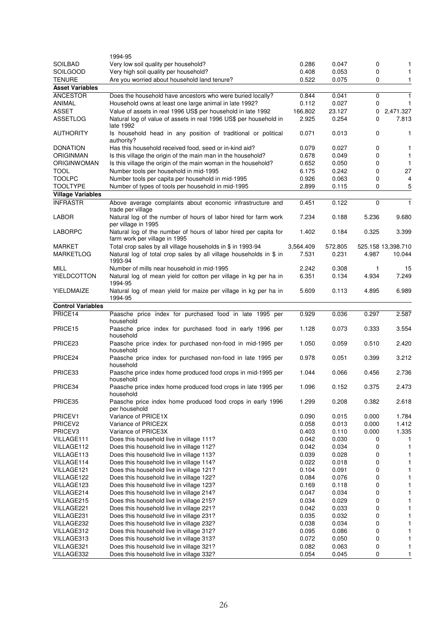|                          | 1994-95                                                                                           |                |                |          |                    |
|--------------------------|---------------------------------------------------------------------------------------------------|----------------|----------------|----------|--------------------|
| <b>SOILBAD</b>           | Very low soil quality per household?                                                              | 0.286          | 0.047          | 0        | 1                  |
| SOILGOOD                 | Very high soil quality per household?                                                             | 0.408          | 0.053          | 0        | $\mathbf{1}$       |
| <b>TENURE</b>            | Are you worried about household land tenure?                                                      | 0.522          | 0.075          | 0        | 1                  |
| <b>Asset Variables</b>   |                                                                                                   |                |                |          |                    |
| <b>ANCESTOR</b>          | Does the household have ancestors who were buried locally?                                        | 0.844          | 0.041          | 0        | $\mathbf{1}$       |
| ANIMAL                   | Household owns at least one large animal in late 1992?                                            | 0.112          | 0.027          | 0        | $\mathbf{1}$       |
| <b>ASSET</b>             | Value of assets in real 1996 US\$ per household in late 1992                                      | 166.802        | 23.127         | 0        | 2,471.327          |
| ASSETLOG                 | Natural log of value of assets in real 1996 US\$ per household in                                 | 2.925          | 0.254          | 0        | 7.813              |
|                          | late 1992                                                                                         |                |                |          |                    |
| <b>AUTHORITY</b>         | Is household head in any position of traditional or political<br>authority?                       | 0.071          | 0.013          | 0        | 1                  |
| <b>DONATION</b>          | Has this household received food, seed or in-kind aid?                                            | 0.079          | 0.027          | 0        | 1                  |
| <b>ORIGINMAN</b>         | Is this village the origin of the main man in the household?                                      | 0.678          | 0.049          | 0        | 1                  |
| ORIGINWOMAN              | Is this village the origin of the main woman in the household?                                    | 0.652          | 0.050          | 0        | $\mathbf{1}$       |
| <b>TOOL</b>              | Number tools per household in mid-1995                                                            | 6.175          | 0.242          | 0        | 27                 |
| <b>TOOLPC</b>            | Number tools per capita per household in mid-1995                                                 | 0.926          | 0.063          | 0        | 4                  |
| <b>TOOLTYPE</b>          | Number of types of tools per household in mid-1995                                                | 2.899          | 0.115          | 0        | 5                  |
| <b>Village Variables</b> |                                                                                                   |                |                |          |                    |
| <b>INFRASTR</b>          | Above average complaints about economic infrastructure and<br>trade per village                   | 0.451          | 0.122          | $\Omega$ | $\mathbf{1}$       |
| <b>LABOR</b>             | Natural log of the number of hours of labor hired for farm work<br>per village in 1995            | 7.234          | 0.188          | 5.236    | 9.680              |
| <b>LABORPC</b>           | Natural log of the number of hours of labor hired per capita for<br>farm work per village in 1995 | 1.402          | 0.184          | 0.325    | 3.399              |
| <b>MARKET</b>            | Total crop sales by all village households in \$ in 1993-94                                       | 3,564.409      | 572.805        |          | 525.158 13,398.710 |
| MARKETLOG                | Natural log of total crop sales by all village households in \$ in<br>1993-94                     | 7.531          | 0.231          | 4.987    | 10.044             |
| MILL                     | Number of mills near household in mid-1995                                                        | 2.242          | 0.308          | 1        | 15                 |
| <b>YIELDCOTTON</b>       | Natural log of mean yield for cotton per village in kg per ha in<br>1994-95                       | 6.351          | 0.134          | 4.934    | 7.249              |
| YIELDMAIZE               | Natural log of mean yield for maize per village in kg per ha in<br>1994-95                        | 5.609          | 0.113          | 4.895    | 6.989              |
| <b>Control Variables</b> |                                                                                                   |                |                |          |                    |
| PRICE14                  | Paasche price index for purchased food in late 1995 per                                           | 0.929          | 0.036          | 0.297    | 2.587              |
| PRICE <sub>15</sub>      | household<br>Paasche price index for purchased food in early 1996 per                             | 1.128          | 0.073          | 0.333    | 3.554              |
| PRICE <sub>23</sub>      | household<br>Paasche price index for purchased non-food in mid-1995 per                           | 1.050          | 0.059          | 0.510    | 2.420              |
| PRICE <sub>24</sub>      | household<br>Paasche price index for purchased non-food in late 1995 per                          | 0.978          | 0.051          | 0.399    | 3.212              |
|                          | household                                                                                         |                |                |          |                    |
| PRICE33                  | Paasche price index home produced food crops in mid-1995 per<br>household                         | 1.044          | 0.066          | 0.456    | 2.736              |
| PRICE34                  | Paasche price index home produced food crops in late 1995 per<br>household                        | 1.096          | 0.152          | 0.375    | 2.473              |
| PRICE35                  | Paasche price index home produced food crops in early 1996<br>per household                       | 1.299          | 0.208          | 0.382    | 2.618              |
| PRICEV1                  | Variance of PRICE1X                                                                               | 0.090          | 0.015          | 0.000    | 1.784              |
| PRICEV <sub>2</sub>      | Variance of PRICE2X                                                                               | 0.058          | 0.013          | 0.000    | 1.412              |
| PRICEV3                  | Variance of PRICE3X                                                                               | 0.403          | 0.110          | 0.000    | 1.335              |
| VILLAGE111               | Does this household live in village 111?                                                          | 0.042          | 0.030          | 0        |                    |
| VILLAGE112               | Does this household live in village 112?                                                          | 0.042          | 0.034          | 0        | 1                  |
| VILLAGE113               | Does this household live in village 113?                                                          | 0.039          | 0.028          | 0        | 1                  |
| VILLAGE114               | Does this household live in village 114?                                                          | 0.022          | 0.018          | 0        | 1                  |
| VILLAGE121               | Does this household live in village 121?                                                          | 0.104          | 0.091          | 0        | 1                  |
| VILLAGE122               | Does this household live in village 122?                                                          | 0.084          | 0.076          | 0        | 1                  |
| VILLAGE123               | Does this household live in village 123?                                                          | 0.169          | 0.118          | 0        | 1                  |
| VILLAGE214               | Does this household live in village 214?                                                          | 0.047          | 0.034          | 0        | 1                  |
| VILLAGE215               | Does this household live in village 215?                                                          | 0.034          | 0.029          | 0        | 1                  |
| VILLAGE221               | Does this household live in village 221?                                                          | 0.042          | 0.033          | 0        | 1                  |
| VILLAGE231               | Does this household live in village 231?                                                          | 0.035          | 0.032          | 0        | 1                  |
| VILLAGE232               | Does this household live in village 232?                                                          | 0.038          | 0.034          | 0        |                    |
| VILLAGE312               | Does this household live in village 312?                                                          | 0.095          | 0.086          | 0        | 1                  |
| VILLAGE313               | Does this household live in village 313?                                                          | 0.072          | 0.050          | 0        | 1                  |
| VILLAGE321<br>VILLAGE332 | Does this household live in village 321?                                                          | 0.082<br>0.054 | 0.063<br>0.045 | 0        | 1<br>1             |
|                          | Does this household live in village 332?                                                          |                |                | 0        |                    |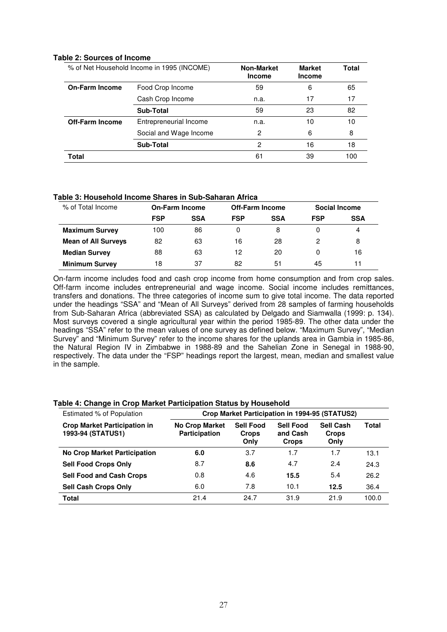#### **Table 2: Sources of Income**

| % of Net Household Income in 1995 (INCOME) |                        | <b>Non-Market</b><br><b>Income</b> | <b>Market</b><br><b>Income</b> | <b>Total</b> |
|--------------------------------------------|------------------------|------------------------------------|--------------------------------|--------------|
| <b>On-Farm Income</b>                      | Food Crop Income       | 59                                 | 6                              | 65           |
|                                            | Cash Crop Income       | n.a.                               | 17                             | 17           |
|                                            | <b>Sub-Total</b>       | 59                                 | 23                             | 82           |
| <b>Off-Farm Income</b>                     | Entrepreneurial Income | n.a.                               | 10                             | 10           |
|                                            | Social and Wage Income | 2                                  | 6                              | 8            |
|                                            | <b>Sub-Total</b>       | 2                                  | 16                             | 18           |
| Total                                      |                        | 61                                 | 39                             | 100          |

#### **Table 3: Household Income Shares in Sub-Saharan Africa**

| % of Total Income          | <b>On-Farm Income</b> |            | <b>Off-Farm Income</b> |            | <b>Social Income</b> |            |
|----------------------------|-----------------------|------------|------------------------|------------|----------------------|------------|
|                            | <b>FSP</b>            | <b>SSA</b> | <b>FSP</b>             | <b>SSA</b> | <b>FSP</b>           | <b>SSA</b> |
| <b>Maximum Survey</b>      | 100                   | 86         | 0                      | 8          | 0                    | 4          |
| <b>Mean of All Surveys</b> | 82                    | 63         | 16                     | 28         | 2                    | 8          |
| <b>Median Survey</b>       | 88                    | 63         | 12                     | 20         | 0                    | 16         |
| <b>Minimum Survey</b>      | 18                    | 37         | 82                     | 51         | 45                   | 11         |

On-farm income includes food and cash crop income from home consumption and from crop sales. Off-farm income includes entrepreneurial and wage income. Social income includes remittances, transfers and donations. The three categories of income sum to give total income. The data reported under the headings "SSA" and "Mean of All Surveys" derived from 28 samples of farming households from Sub-Saharan Africa (abbreviated SSA) as calculated by Delgado and Siamwalla (1999: p. 134). Most surveys covered a single agricultural year within the period 1985-89. The other data under the headings "SSA" refer to the mean values of one survey as defined below. "Maximum Survey", "Median Survey" and "Minimum Survey" refer to the income shares for the uplands area in Gambia in 1985-86, the Natural Region IV in Zimbabwe in 1988-89 and the Sahelian Zone in Senegal in 1988-90, respectively. The data under the "FSP" headings report the largest, mean, median and smallest value in the sample.

#### Estimated % of Population **Crop Market Participation in 1994-95 (STATUS2) Crop Market Participation in 1993-94 (STATUS1) No Crop Market Participation Sell Food Crops Only Sell Food and Cash Crops Sell Cash Crops Only Total No Crop Market Participation 6.0** 3.7 1.7 1.7 13.1 **Sell Food Crops Only** 8.7 **8.6** 4.7 2.4 24.3 **Sell Food and Cash Crops** 0.8 4.6 **15.5** 5.4 26.2 **Sell Cash Crops Only** 6.0 7.8 10.1 **12.5** 36.4 **Total** 21.4 24.7 31.9 21.9 100.0

## **Table 4: Change in Crop Market Participation Status by Household**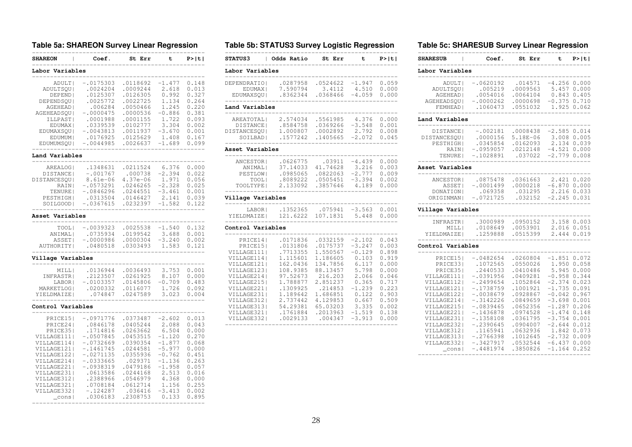#### **Table 5a: SHAREON Survey Linear Regression**

| <b>SHAREON</b>    | Coef.       | St Err       | t              | <b>P&gt;iti</b> |
|-------------------|-------------|--------------|----------------|-----------------|
| Labor Variables   |             |              |                |                 |
| --------<br>ADULT | $-.0175303$ | .0118692     | $-1.477$       | 0.148           |
| ADULTSOU          | .0024204    | .0009244     | 2.618          | 0.013           |
| DEPEND            | .0125307    | .0126305     | 0.992          | 0.327           |
| DEPENDSOU         | .0025772    | .0022725     | 1.134          | 0.264           |
| <b>AGEHEAD</b> I  | .006284     | .0050466     | 1.245          | 0.220           |
| AGEHEADSOU        | -.0000475   | .0000536     | $-0.886$       | 0.381           |
|                   | .0001988    | .0001155     |                | 0.093           |
| ILLPAST           | .0339539    | .0102777     | 1.722<br>3.304 | 0.002           |
| EDUMAX            | $-.0043813$ |              | $-3.670$       |                 |
| EDUMAXSQU         |             | .0011937     |                | 0.001           |
| EDUMUM            | .0176925    | .0125629     | 1.408          | 0.167           |
| EDUMUMSQU         | $-.0044985$ | .0026637     | $-1.689$       | 0.099           |
| Land Variables    |             |              |                |                 |
| AREALOG           | .1348631    | .0211524     | 6.376          | 0.000           |
| DISTANCE          | $-.001767$  | .000738      | $-2.394$       | 0.022           |
| DISTANCESQU       | $8.61e-06$  | $4.37e - 06$ | 1.971          | 0.056           |
| RAIN              | $-.0573291$ | .0246265     | $-2.328$       | 0.025           |
| TENURE            | $-.0846296$ | .0244551     | $-3.461$       | 0.001           |
| PESTHIGH          | .0313504    | .0146427     | 2.141          | 0.039           |
| SOILGOOD  <br>.   | $-.0367615$ | .0232397     | $-1.582$       | 0.122           |
| Asset Variables   |             |              |                |                 |
| TOOL              | $-.0039323$ | .0025538     | $-1.540$       | 0.132           |
| ANIMAL            | .0735934    | .0199542     | 3.688          | 0.001           |
| ASSET             | $-.0000986$ | .0000304     | $-3.240$       | 0.002           |
| AUTHORITY         | .0480518    | .0303493     | 1.583          | 0.121           |
| Village Variables |             |              |                |                 |
| MILLI             | .0136944    | .0036493     | 3.753          | 0.001           |
| INFRASTR          | .2123507    | .0261925     | 8.107          | 0.000           |
| LABOR             | $-.0103357$ | .0145806     | $-0.709$       | 0.483           |
| MARKETLOG         | .0200332    | .0116077     | 1.726          | 0.092           |
| YIELDMAIZE        | .074847     | .0247589     | 3.023          | 0.004           |
| Control Variables |             |              |                |                 |
| PRICE15           | $-.0971776$ | .0373487     | $-2.602$       | 0.013           |
| PRICE24           | .0846178    | .0405244     | 2.088          | 0.043           |
| PRICE35           | .1714816    | .0263662     | 6.504          | 0.000           |
| VILLAGE111        | $-.0507845$ | .0453515     | $-1.120$       | 0.270           |
| VILLAGE114        | $-.0732669$ | .0390354     | $-1.877$       | 0.068           |
| VILLAGE121        | $-.1461745$ | .0244581     | $-5.977$       | 0.000           |
| VILLAGE122        | $-.0271135$ | .0355936     | $-0.762$       | 0.451           |
| VILLAGE2141       | -.0333665   | .029371      | $-1.136$       | 0.263           |
| VILLAGE221        | -.0938319   | .0479186     | $-1.958$       | 0.057           |
| VILLAGE2311       | .0613586    | .0244168     | 2.513          | 0.016           |
| VILLAGE312        | .2388966    | .0546979     | 4.368          | 0.000           |
| VILLAGE321        | .0708184    | .0612714     | 1.156          | 0.255           |
| VILLAGE332        | $-.124287$  | .036416      | $-3.413$       | 0.002           |
| $_{\rm cons}$     | .0306183    | .2308753     | 0.133          | 0.895           |
|                   |             |              |                |                 |

#### **Table 5b: STATUS3 Survey Logistic Regression**

| <b>STATUS3</b>                                                                                                                                                                                | Odds Ratio                                                                                                                                                           | St Err                                                                                                                                                                   | t                                                                                                                                            | P >  t                                                                                                                     |
|-----------------------------------------------------------------------------------------------------------------------------------------------------------------------------------------------|----------------------------------------------------------------------------------------------------------------------------------------------------------------------|--------------------------------------------------------------------------------------------------------------------------------------------------------------------------|----------------------------------------------------------------------------------------------------------------------------------------------|----------------------------------------------------------------------------------------------------------------------------|
| Labor Variables                                                                                                                                                                               |                                                                                                                                                                      |                                                                                                                                                                          |                                                                                                                                              |                                                                                                                            |
| DEPENDRATIO <br>EDUMAX  <br>EDUMAXSOU                                                                                                                                                         | .0287958<br>7.590794<br>.8362344                                                                                                                                     | .0524622<br>3.4112<br>.0368466                                                                                                                                           | $-1.947$<br>4.510<br>$-4.059$                                                                                                                | 0.059<br>0.000<br>0.000                                                                                                    |
| Land Variables                                                                                                                                                                                |                                                                                                                                                                      |                                                                                                                                                                          |                                                                                                                                              |                                                                                                                            |
| AREATOTAL  <br>DISTANCE  <br>DISTANCESOU  <br>SOILBAD                                                                                                                                         | 2.574034<br>.8584758<br>1.000807<br>.1577242                                                                                                                         | .5561985<br>.0369266<br>.0002892<br>.1405665                                                                                                                             | 4.376<br>$-3.548$<br>2.792<br>$-2.072$                                                                                                       | 0.000<br>0.001<br>0.008<br>0.045                                                                                           |
| Asset Variables                                                                                                                                                                               |                                                                                                                                                                      |                                                                                                                                                                          |                                                                                                                                              |                                                                                                                            |
| ANCESTOR  <br>ANIMAL<br>PESTLOW <br>TOOL  <br>TOOLTYPE                                                                                                                                        | .0626775<br>37.14033<br>.0985065<br>.8089222<br>2.133092                                                                                                             | .03911<br>41.74628<br>.0822063<br>.0505451<br>.3857646                                                                                                                   | $-4.439$<br>3.216<br>$-2.777$<br>$-3.394$<br>4.189                                                                                           | 0.000<br>0.003<br>0.009<br>0.002<br>0.000                                                                                  |
| Village Variables                                                                                                                                                                             |                                                                                                                                                                      |                                                                                                                                                                          |                                                                                                                                              |                                                                                                                            |
| LABOR  <br>YIELDMAIZE                                                                                                                                                                         | .1352365<br>121.6222                                                                                                                                                 | .075941<br>107.1831                                                                                                                                                      | $-3.563$<br>5.448                                                                                                                            | 0.001<br>0.000                                                                                                             |
| Control Variables                                                                                                                                                                             |                                                                                                                                                                      |                                                                                                                                                                          |                                                                                                                                              |                                                                                                                            |
| PRICE14<br>PRICE15<br>VILLAGE111 <br>VILLAGE114<br>VILLAGE121<br>VILLAGE123<br>VILLAGE214<br>VILLAGE215<br>VILLAGE221<br>VILLAGE231 <br>VILLAGE312 <br>VILLAGE313<br>VILLAGE321<br>VILLAGE332 | .0171836<br>.0131806<br>.7713355<br>1.115601<br>162.0436<br>108.9385<br>97.52673<br>1.788877<br>.1309925<br>1.189642<br>2.737442<br>54.29381<br>.1761884<br>.0029133 | .0332159<br>.0175737<br>1.550567<br>1.186605<br>134.7856<br>88.13457<br>216.203<br>2.851237<br>.214853<br>1.686851<br>4.129853<br>65.03203<br>.2013963<br>.004347<br>--- | $-2.102$<br>$-3.247$<br>$-0.129$<br>0.103<br>6.117<br>5.798<br>2.066<br>0.365<br>$-1.239$<br>0.122<br>0.667<br>3.335<br>$-1.519$<br>$-3.913$ | 0.043<br>0.003<br>0.898<br>0.919<br>0.000<br>0.000<br>0.046<br>0.717<br>0.223<br>0.903<br>0.509<br>0.002<br>0.138<br>0.000 |

#### **Table 5c: SHARESUB Survey Linear Regression**

| <b>SHARESUB</b>                                                                                                                                                                                                           | Coef.                                                                                                                                                                                                                               | St Err                                                                                                                                                                                       | P >  t <br>t                                                                                                                                                                                                                                                                                                                        |
|---------------------------------------------------------------------------------------------------------------------------------------------------------------------------------------------------------------------------|-------------------------------------------------------------------------------------------------------------------------------------------------------------------------------------------------------------------------------------|----------------------------------------------------------------------------------------------------------------------------------------------------------------------------------------------|-------------------------------------------------------------------------------------------------------------------------------------------------------------------------------------------------------------------------------------------------------------------------------------------------------------------------------------|
| Labor Variables                                                                                                                                                                                                           |                                                                                                                                                                                                                                     |                                                                                                                                                                                              |                                                                                                                                                                                                                                                                                                                                     |
| ADULT  <br>ADULTSOU  <br><b>AGEHEAD</b>  <br>AGEHEADSOU  <br>FEMHEAD                                                                                                                                                      | $-.0620192$<br>.005219<br>.0054016<br>$-.0000262$<br>.1060473                                                                                                                                                                       | .014571<br>.0009563<br>.0064104<br>.0000698<br>.0551032                                                                                                                                      | $-4.256$<br>0.000<br>5.457<br>0.000<br>0.843<br>0.405<br>$-0.375$<br>0.710<br>1.925<br>0.062                                                                                                                                                                                                                                        |
| Land Variables                                                                                                                                                                                                            |                                                                                                                                                                                                                                     |                                                                                                                                                                                              |                                                                                                                                                                                                                                                                                                                                     |
| DISTANCE  <br>DISTANCESOU <br><b>PESTHIGHI</b><br>RAIN <br>TENURE                                                                                                                                                         | $-.002181$<br>.0000156<br>.0345854<br>$-.0959057$<br>$-.1028891$                                                                                                                                                                    | .0008438<br>$5.18E - 06$<br>.0162093<br>.0212148<br>.037022                                                                                                                                  | $-2.585$<br>0.014<br>3.008<br>0.005<br>2.134<br>0.039<br>$-4.521$<br>0.000<br>$-2.779$<br>0.008                                                                                                                                                                                                                                     |
| Asset Variables                                                                                                                                                                                                           |                                                                                                                                                                                                                                     |                                                                                                                                                                                              |                                                                                                                                                                                                                                                                                                                                     |
| ANCESTOR  <br>ASSET <br>DONATION  <br>ORIGINMAN                                                                                                                                                                           | .0875478<br>$-.0001499$<br>.069358<br>$-.0721725$                                                                                                                                                                                   | .0361663<br>.0000218<br>.031295<br>.032152                                                                                                                                                   | 2.421<br>0.020<br>$-6.870$<br>0.000<br>2.216<br>0.033<br>$-2.245$<br>0.031                                                                                                                                                                                                                                                          |
| Village Variables                                                                                                                                                                                                         |                                                                                                                                                                                                                                     |                                                                                                                                                                                              |                                                                                                                                                                                                                                                                                                                                     |
| INFRASTR <br>MILL <br>YIELDMAIZE                                                                                                                                                                                          | .3000989<br>.0108649<br>.1259888                                                                                                                                                                                                    | .0950152<br>.0053901<br>.0515399                                                                                                                                                             | 3.158<br>0.003<br>2.016<br>0.051<br>2.444<br>0.019                                                                                                                                                                                                                                                                                  |
| Control Variables                                                                                                                                                                                                         |                                                                                                                                                                                                                                     |                                                                                                                                                                                              |                                                                                                                                                                                                                                                                                                                                     |
| PRICE151<br>PRICE331<br>PRICE35<br>VILLAGE111 <br>VILLAGE112<br>VILLAGE121 <br>VILLAGE122 <br>VILLAGE214<br>VILLAGE215<br>VILLAGE221 <br>VILLAGE231 <br>VILLAGE2321<br>VILLAGE312 <br>VILLAGE313 <br>VILLAGE3321<br>consl | $-.0482654$<br>.1072565<br>.2440533<br>$-.0391956$<br>$-.2499654$<br>$-.1738759$<br>$-10038679$<br>$-.3142226$<br>$-.0839465$<br>$-.1436878$<br>$-.1358108$<br>$-.2390645$<br>.1165941<br>$-.2766398$<br>$-.3427917$<br>$-.4481974$ | .0260804<br>.0550026<br>.0410486<br>.0409281<br>.1052864<br>.1001921<br>.0928867<br>.0849659<br>.0652356<br>.0974528<br>.0361795<br>.0904007<br>.0632936<br>.1012645<br>.0532544<br>.3850826 | $-1.851$<br>0.072<br>0.058<br>1.950<br>5.945<br>0.000<br>$-0.958$<br>0.344<br>$-2.374$<br>0.023<br>$-1.735$<br>0.091<br>0.967<br>$-0.042$<br>$-3.698$<br>0.001<br>$-1.287$<br>0.206<br>$-1.474$<br>0.148<br>$-3.754$<br>0.001<br>$-2.644$<br>0.012<br>1.842<br>0.073<br>$-2.732$<br>0.009<br>$-6.437$<br>0.000<br>$-1.164$<br>0.252 |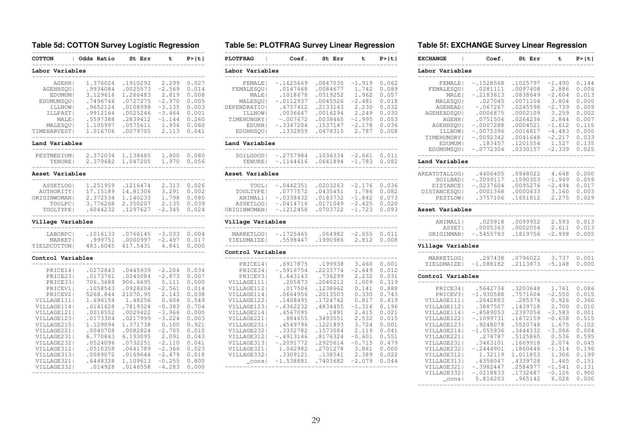**Table 5d: COTTON Survey Logistic Regression**

| <b>COTTON</b>              | Odds Ratio           | St Err               | t                 | P >  t         |
|----------------------------|----------------------|----------------------|-------------------|----------------|
| Labor Variables            |                      |                      |                   |                |
| AGEHH  <br><b>AGEHHSOU</b> | 1.376024<br>.9934084 | .1910292<br>.0025573 | 2.299<br>$-2.569$ | 0.027<br>0.014 |
| EDUMUM  <br>EDUMUMSOU      | 3.129616<br>.7496746 | 1.266483<br>.0727275 | 2.819<br>$-2.970$ | 0.008<br>0.005 |
| ILLNOW                     | .9652124             | .0108998             | $-3.135$          | 0.003          |
| ILLPAST                    | .9912164             | .0025246             | $-3.464$          | 0.001          |
| MALE                       | .5597388             | .2839412             | $-1.144$          | 0.260          |
| MALESQU                    | 1.105997             | .0575611             | 1.936             | 0.060          |
| TIMEHARVEST                | 1.016706             | .0079705             | 2.113             | 0.041          |
| Land Variables             |                      |                      |                   |                |
| PESTMEDIUM                 | 2.372034             | 1.138485             | 1.800             | 0.080          |
| TENURE                     | 2.379682             | 1.047205             | 1.970             | 0.056          |
| Asset Variables            |                      |                      |                   |                |
| ASSETLOG                   | 1.251959             | .1216474             | 2.313             | 0.026          |
| AUTHORITY                  | 17.15189             | 14.81306             | 3.291             | 0.002          |
| ORIGINWOMAN                | 2.372534             | 1.140233             | 1.798             | 0.080          |
| TOOLPC  <br>TOOLTYPE       | 3.776268<br>.6044232 | 2.350207<br>.1297627 | 2.135<br>$-2.345$ | 0.039<br>0.024 |
| ------                     |                      |                      |                   |                |
| Village Variables          |                      |                      |                   |                |
| LABORPC                    | .1016133             | .0766145             | $-3.033$          | 0.004          |
| <b>MARKET</b>              | .999751              | .0000997             | $-2.497$          | 0.017          |
| YIELDCOTTON <br>--------   | 483.6045             | 617.5431             | 4.841             | 0.000          |
| Control Variables          |                      |                      |                   |                |
| PRICE14                    | .0272843             | .0445939             | $-2.204$          | 0.034          |
| PRICE23                    | .0173761<br>706.3688 | .0245084<br>906.6695 | $-2.873$          | 0.007          |
| PRICE331<br>PRICEV1        | .1058543             | .0928204             | 5.111<br>$-2.561$ | 0.000<br>0.014 |
| PRICEV2                    | 5268.844             | 21070.95             | 2.143             | 0.038          |
| VILLAGE111                 | 1.696154             | 1.48256              | 0.604             | 0.549          |
| VILLAGE114                 | .6141628             | .7819324             | $-0.383$          | 0.704          |
| VILLAGE121                 | .0018552             | .0029422             | $-3.966$          | 0.000          |
| VILLAGE123                 | .0173304             | .0217999             | $-3.224$          | 0.003          |
| VILLAGE215                 | 1.129094             | 1.371738             | 0.100             | 0.921          |
| VILLAGE221                 | .0040708             | .0082824             | $-2.705$          | 0.010          |
| VILLAGE231                 | 6.770843             | 6.193095             | 2.091             | 0.043          |
| VILLAGE232                 | .0524096             | .0732251             | $-2.110$          | 0.041          |
| VILLAGE312                 | .0510358             | .0641789             | $-2.366$          | 0.023          |
| VILLAGE313                 | .0089072             | .0169644             | $-2.479$          | 0.018          |
| VILLAGE321                 | .6448328             | 1.109613             | $-0.255$          | 0.800          |
| VILLAGE332                 | .014928              | .0146558             | $-4.283$          | 0.000          |

------------------------------------------------

#### **Table 5e: PLOTFRAG Survey Linear Regression**

| <b>PLOTFRAG</b>                                                                                                              | Coef.                                                                                                              | St Err                                                                                                    | t                                                                                         | P >  t                                                                        |
|------------------------------------------------------------------------------------------------------------------------------|--------------------------------------------------------------------------------------------------------------------|-----------------------------------------------------------------------------------------------------------|-------------------------------------------------------------------------------------------|-------------------------------------------------------------------------------|
| Labor Variables                                                                                                              |                                                                                                                    |                                                                                                           |                                                                                           |                                                                               |
| FEMALE  <br><b>FEMALESOU</b><br>MALE  <br>MALESOU  <br>DEPENDRATIO  <br>ILLNOW  <br><b>TIMEHUNGRY</b><br>EDUHH  <br>EDUHHSOU | $-1625669$<br>.0147468<br>.1018678<br>$-.0112937$<br>.4757412<br>.0036647<br>$-.007672$<br>$-.3347204$<br>.1332859 | .0847035<br>.0084677<br>.0519252<br>.0045526<br>. 2133143<br>.0016294<br>.0038465<br>.1537147<br>.0478315 | $-1.919$<br>1.742<br>1.962<br>$-2.481$<br>2.230<br>2.249<br>$-1.995$<br>$-2.178$<br>2.787 | 0.062<br>0.089<br>0.057<br>0.018<br>0.032<br>0.030<br>0.053<br>0.036<br>0.008 |

#### **Land Variables**

|  | $SOILGOOD$ -.2757984 .1036334 -2.661 0.011 |  |  |  |  |
|--|--------------------------------------------|--|--|--|--|
|  | TENURE 1 - 1144616 .0641894 -1.783 0.082   |  |  |  |  |
|  |                                            |  |  |  |  |

#### **Asset Variables**

| TOOL I           | $-.0442351$ | .0203263 | $-2.176$ | 0.036 |
|------------------|-------------|----------|----------|-------|
| TOOLTYPE         | .0777572    | .0435451 | 1.786    | 0.082 |
| ANIMAL1          | $-.0338432$ | .0183732 | $-1.842$ | 0.073 |
| <b>ASSETLOGI</b> | $-.0414716$ | .0171049 | $-2.425$ | 0.020 |
| ORIGINWOMAN      | $-.1212458$ | .0703722 | $-1.723$ | 0.093 |
|                  |             |          |          |       |

#### **Village Variables**

| $MARKETLOG$ $-1725465$ |          | $.064982 - 2.655 0.011$ |             |  |  |
|------------------------|----------|-------------------------|-------------|--|--|
| YTELDMATZEL            | .5598447 | .1990986                | 2.812 0.008 |  |  |
|                        |          |                         |             |  |  |

#### **Control Variables**

| PRICE141<br>PRICE341<br>PRICEV3<br>VILLAGE111 <br>VILLAGE112  <br>VILLAGE114  <br>VILLAGE1221<br>VILLAGE1231<br>VILLAGE214 <br>VILLAGE221 <br>VILLAGE231 <br>VILLAGE2321<br>VILLAGE3121<br>VILLAGE3131 | .6917875<br>$-.5916754$<br>1.643143<br>.205873<br>.017506<br>.0664956<br>.1408495<br>$-.6362232$<br>.4567095<br>.884655<br>.4549796<br>.3332782<br>$-.4913146$<br>$-.2091772$ | .199938<br>. 2233774<br>.736299<br>.2040212<br>.1238662<br>.2013503<br>.1724742<br>.4834455<br>.1891<br>.3493551<br>.1221893<br>.1573084<br>.8176324<br>.2925614 | 3.460<br>$-2.649$<br>2.232<br>1.009<br>0.141<br>0.330<br>0.817<br>$-1.316$<br>2.415<br>2.532<br>3.724<br>2.119<br>$-0.601$<br>$-0.715$ | 0.001<br>0.012<br>0.031<br>0.319<br>0.888<br>0.743<br>0.419<br>0.196<br>0.021<br>0.015<br>0.001<br>0.041<br>0.551<br>0.479 |
|--------------------------------------------------------------------------------------------------------------------------------------------------------------------------------------------------------|-------------------------------------------------------------------------------------------------------------------------------------------------------------------------------|------------------------------------------------------------------------------------------------------------------------------------------------------------------|----------------------------------------------------------------------------------------------------------------------------------------|----------------------------------------------------------------------------------------------------------------------------|
|                                                                                                                                                                                                        |                                                                                                                                                                               |                                                                                                                                                                  |                                                                                                                                        |                                                                                                                            |
| VILLAGE321 <br>VILLAGE3321<br>cons                                                                                                                                                                     | 1.042982<br>.3309121<br>$-1.538881$                                                                                                                                           | .2701278<br>.138541<br>.7403682                                                                                                                                  | 3.861<br>2.389<br>$-2.079$                                                                                                             | 0.000<br>0.022<br>0.044                                                                                                    |
|                                                                                                                                                                                                        |                                                                                                                                                                               |                                                                                                                                                                  |                                                                                                                                        |                                                                                                                            |

#### **Table 5f: EXCHANGE Survey Linear Regression**

| <b>EXCHANGE</b>              | Coef.                      | St Err               | t                 | P> t           |
|------------------------------|----------------------------|----------------------|-------------------|----------------|
| Labor Variables              |                            |                      |                   |                |
| FEMALE                       | $-.1528568$                | .1025797             | $-1.490$          | 0.144          |
| FEMALESOU                    | .0281111                   | .0097408             | 2.886             | 0.006          |
| MALE                         | -.2183613                  | .0838649             | $-2.604$          | 0.013          |
| MALESOU                      | .027045                    | .0071104             | 3.804             | 0.000          |
| AGEHEAD  <br>AGEHEADSOU      | $-.067267$<br>.0006875     | .0245598<br>.0002109 | $-2.739$<br>3.259 | 0.009<br>0.002 |
| AGEHH                        | .0751504                   | .0264236             | 2.844             | 0.007          |
| AGEHHSQU                     | $-.0007288$                | .0004521             | $-1.612$          | 0.115          |
| ILLNOW                       | $-.0075396$                | .0016817             | $-4.483$          | 0.000          |
| TIMEHUNGRY                   | $-.0092342$                | .0041648             | $-2.217$          | 0.033          |
| EDUMUM                       | .183457                    | .1201554             | 1.527             | 0.135          |
| EDUMUMSOU  <br>--------      | $-.0772304$<br>$- - - - -$ | .0330157             | $-2.339$          | 0.025          |
| Land Variables<br>---------- |                            |                      |                   |                |
| AREATOTALLOG                 | .4406405                   | .0948022             | 4.648             | 0.000          |
| SOILBAD                      | $-.3099117$                | .1590303             | $-1.949$          | 0.059          |
| DISTANCE                     | $-.0237604$                | .0095276             | $-2.494$          | 0.017          |
| DISTANCESOU                  | .0001368                   | .0000433             | 3.160             | 0.003          |
| PESTLOW                      | .3757106                   | .1651812             | 2.275             | 0.029          |
| Asset Variables              |                            |                      |                   |                |
| ANIMAL1                      | .025918                    | .0099952             | 2.593             | 0.013          |
| ASSET                        | .0005363                   | .0002054             | 2.611             | 0.013          |
| ORIGINMAN  <br>$- - - - -$   | $-.5455783$                | .1819756             | $-2.998$          | 0.005          |
| Village Variables            |                            |                      |                   |                |
| <b>MARKETLOG</b>             | .297438                    | .0796022             | 3.737             | 0.001          |
| YIELDMAIZE                   | $-1.088182$                | .2113873             | $-5.148$          | 0.000          |
| Control Variables            |                            |                      |                   |                |
| PRICE34                      | .5642734                   | .3203648             | 1.761             | 0.086          |
| PRICEV3                      | $-1.930588$                | .7571604             | $-2.550$          | 0.015          |
| VILLAGE111                   | .2642883                   | .285374              | 0.926             | 0.360          |
| VILLAGE112                   | .3887507                   | .1439718             | 2.700             | 0.010          |
| VILLAGE114                   | $-.8589053$                | .2397054             | $-3.583$          | 0.001          |
| VILLAGE122                   | $-.1099731$                | .1672159             | $-0.658$          | 0.515          |
| VILLAGE123<br>VILLAGE214     | .9248078<br>$-1.055936$    | .5520748<br>.3444332 | 1.675<br>$-3.066$ | 0.102<br>0.004 |
| VILLAGE221                   | .274787                    | .5125865             | 0.536             | 0.595          |
| VILLAGE231                   | .3463101                   | .1669918             | 2.074             | 0.045          |
| VILLAGE232                   | $-.2444901$                | .1860446             | $-1.314$          | 0.196          |
| VILLAGE312                   | 1.32119                    | 1.011853             | 1.306             | 0.199          |
| VILLAGE313                   | .6358047                   | .4339728             | 1.465             | 0.151          |
| VILLAGE321                   | $-.3982447$                | .2584977             | $-1.541$          | 0.131          |
| VILLAGE332                   | $-.0218833$                | .1732487             | $-0.126$          | 0.900          |
| cons                         | 5.816203                   | .965142              | 6.026             | 0.000          |

-------------------------------------------------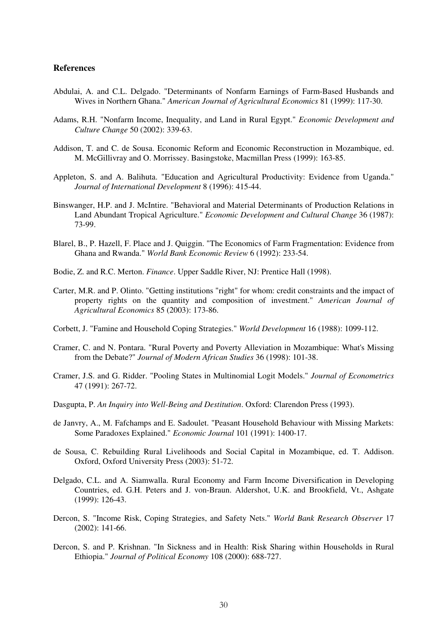#### **References**

- Abdulai, A. and C.L. Delgado. "Determinants of Nonfarm Earnings of Farm-Based Husbands and Wives in Northern Ghana." *American Journal of Agricultural Economics* 81 (1999): 117-30.
- Adams, R.H. "Nonfarm Income, Inequality, and Land in Rural Egypt." *Economic Development and Culture Change* 50 (2002): 339-63.
- Addison, T. and C. de Sousa. Economic Reform and Economic Reconstruction in Mozambique, ed. M. McGillivray and O. Morrissey. Basingstoke, Macmillan Press (1999): 163-85.
- Appleton, S. and A. Balihuta. "Education and Agricultural Productivity: Evidence from Uganda." *Journal of International Development* 8 (1996): 415-44.
- Binswanger, H.P. and J. McIntire. "Behavioral and Material Determinants of Production Relations in Land Abundant Tropical Agriculture." *Economic Development and Cultural Change* 36 (1987): 73-99.
- Blarel, B., P. Hazell, F. Place and J. Quiggin. "The Economics of Farm Fragmentation: Evidence from Ghana and Rwanda." *World Bank Economic Review* 6 (1992): 233-54.
- Bodie, Z. and R.C. Merton. *Finance*. Upper Saddle River, NJ: Prentice Hall (1998).
- Carter, M.R. and P. Olinto. "Getting institutions "right" for whom: credit constraints and the impact of property rights on the quantity and composition of investment." *American Journal of Agricultural Economics* 85 (2003): 173-86.
- Corbett, J. "Famine and Household Coping Strategies." *World Development* 16 (1988): 1099-112.
- Cramer, C. and N. Pontara. "Rural Poverty and Poverty Alleviation in Mozambique: What's Missing from the Debate?" *Journal of Modern African Studies* 36 (1998): 101-38.
- Cramer, J.S. and G. Ridder. "Pooling States in Multinomial Logit Models." *Journal of Econometrics* 47 (1991): 267-72.
- Dasgupta, P. *An Inquiry into Well-Being and Destitution*. Oxford: Clarendon Press (1993).
- de Janvry, A., M. Fafchamps and E. Sadoulet. "Peasant Household Behaviour with Missing Markets: Some Paradoxes Explained." *Economic Journal* 101 (1991): 1400-17.
- de Sousa, C. Rebuilding Rural Livelihoods and Social Capital in Mozambique, ed. T. Addison. Oxford, Oxford University Press (2003): 51-72.
- Delgado, C.L. and A. Siamwalla. Rural Economy and Farm Income Diversification in Developing Countries, ed. G.H. Peters and J. von-Braun. Aldershot, U.K. and Brookfield, Vt., Ashgate (1999): 126-43.
- Dercon, S. "Income Risk, Coping Strategies, and Safety Nets." *World Bank Research Observer* 17 (2002): 141-66.
- Dercon, S. and P. Krishnan. "In Sickness and in Health: Risk Sharing within Households in Rural Ethiopia." *Journal of Political Economy* 108 (2000): 688-727.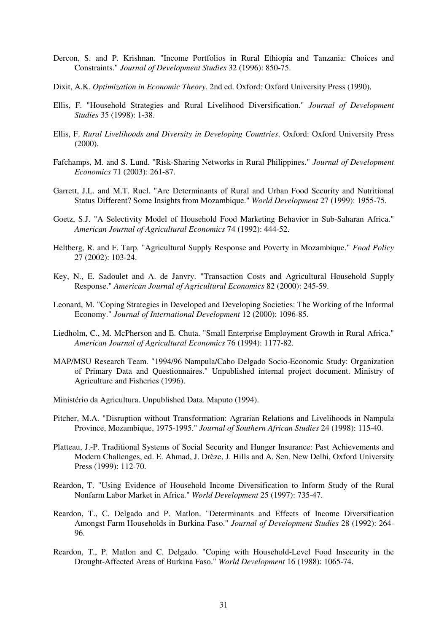- Dercon, S. and P. Krishnan. "Income Portfolios in Rural Ethiopia and Tanzania: Choices and Constraints." *Journal of Development Studies* 32 (1996): 850-75.
- Dixit, A.K. *Optimization in Economic Theory*. 2nd ed. Oxford: Oxford University Press (1990).
- Ellis, F. "Household Strategies and Rural Livelihood Diversification." *Journal of Development Studies* 35 (1998): 1-38.
- Ellis, F. *Rural Livelihoods and Diversity in Developing Countries*. Oxford: Oxford University Press (2000).
- Fafchamps, M. and S. Lund. "Risk-Sharing Networks in Rural Philippines." *Journal of Development Economics* 71 (2003): 261-87.
- Garrett, J.L. and M.T. Ruel. "Are Determinants of Rural and Urban Food Security and Nutritional Status Different? Some Insights from Mozambique." *World Development* 27 (1999): 1955-75.
- Goetz, S.J. "A Selectivity Model of Household Food Marketing Behavior in Sub-Saharan Africa." *American Journal of Agricultural Economics* 74 (1992): 444-52.
- Heltberg, R. and F. Tarp. "Agricultural Supply Response and Poverty in Mozambique." *Food Policy* 27 (2002): 103-24.
- Key, N., E. Sadoulet and A. de Janvry. "Transaction Costs and Agricultural Household Supply Response." *American Journal of Agricultural Economics* 82 (2000): 245-59.
- Leonard, M. "Coping Strategies in Developed and Developing Societies: The Working of the Informal Economy." *Journal of International Development* 12 (2000): 1096-85.
- Liedholm, C., M. McPherson and E. Chuta. "Small Enterprise Employment Growth in Rural Africa." *American Journal of Agricultural Economics* 76 (1994): 1177-82.
- MAP/MSU Research Team. "1994/96 Nampula/Cabo Delgado Socio-Economic Study: Organization of Primary Data and Questionnaires." Unpublished internal project document. Ministry of Agriculture and Fisheries (1996).
- Ministério da Agricultura. Unpublished Data. Maputo (1994).
- Pitcher, M.A. "Disruption without Transformation: Agrarian Relations and Livelihoods in Nampula Province, Mozambique, 1975-1995." *Journal of Southern African Studies* 24 (1998): 115-40.
- Platteau, J.-P. Traditional Systems of Social Security and Hunger Insurance: Past Achievements and Modern Challenges, ed. E. Ahmad, J. Drèze, J. Hills and A. Sen. New Delhi, Oxford University Press (1999): 112-70.
- Reardon, T. "Using Evidence of Household Income Diversification to Inform Study of the Rural Nonfarm Labor Market in Africa." *World Development* 25 (1997): 735-47.
- Reardon, T., C. Delgado and P. Matlon. "Determinants and Effects of Income Diversification Amongst Farm Households in Burkina-Faso." *Journal of Development Studies* 28 (1992): 264- 96.
- Reardon, T., P. Matlon and C. Delgado. "Coping with Household-Level Food Insecurity in the Drought-Affected Areas of Burkina Faso." *World Development* 16 (1988): 1065-74.